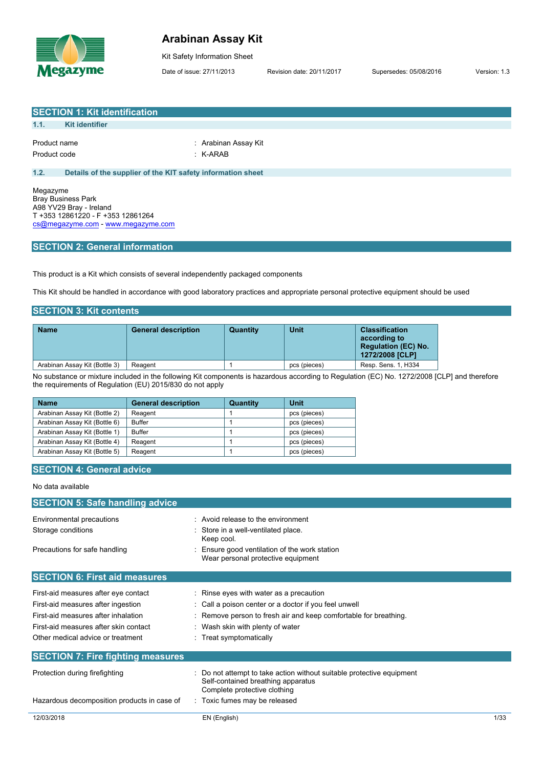

## **Arabinan Assay Kit**

Kit Safety Information Sheet

Date of issue: 27/11/2013 Revision date: 20/11/2017 Supersedes: 05/08/2016 Version: 1.3

| <b>SECTION 1: Kit identification</b>                                                                                                                                                 |                                                                                   |                                    |                                             |                                                                                                                                              |  |
|--------------------------------------------------------------------------------------------------------------------------------------------------------------------------------------|-----------------------------------------------------------------------------------|------------------------------------|---------------------------------------------|----------------------------------------------------------------------------------------------------------------------------------------------|--|
| 1.1.<br><b>Kit identifier</b>                                                                                                                                                        |                                                                                   |                                    |                                             |                                                                                                                                              |  |
|                                                                                                                                                                                      |                                                                                   |                                    |                                             |                                                                                                                                              |  |
| Product name                                                                                                                                                                         |                                                                                   | : Arabinan Assay Kit               |                                             |                                                                                                                                              |  |
| Product code                                                                                                                                                                         | $:$ K-ARAB                                                                        |                                    |                                             |                                                                                                                                              |  |
| 1.2.                                                                                                                                                                                 | Details of the supplier of the KIT safety information sheet                       |                                    |                                             |                                                                                                                                              |  |
|                                                                                                                                                                                      |                                                                                   |                                    |                                             |                                                                                                                                              |  |
| Megazyme<br><b>Bray Business Park</b><br>A98 YV29 Bray - Ireland<br>T +353 12861220 - F +353 12861264<br>cs@megazyme.com - www.megazyme.com<br><b>SECTION 2: General information</b> |                                                                                   |                                    |                                             |                                                                                                                                              |  |
| <b>SECTION 3: Kit contents</b>                                                                                                                                                       | This product is a Kit which consists of several independently packaged components |                                    |                                             | This Kit should be handled in accordance with good laboratory practices and appropriate personal protective equipment should be used         |  |
| <b>Name</b>                                                                                                                                                                          | <b>General description</b>                                                        | <b>Quantity</b>                    | <b>Unit</b>                                 | <b>Classification</b>                                                                                                                        |  |
|                                                                                                                                                                                      |                                                                                   |                                    |                                             | according to<br><b>Regulation (EC) No.</b><br>1272/2008 [CLP]                                                                                |  |
| Arabinan Assay Kit (Bottle 3)                                                                                                                                                        | Reagent                                                                           | $\mathbf{1}$                       | pcs (pieces)                                | Resp. Sens. 1, H334                                                                                                                          |  |
|                                                                                                                                                                                      | the requirements of Regulation (EU) 2015/830 do not apply                         |                                    |                                             | No substance or mixture included in the following Kit components is hazardous according to Regulation (EC) No. 1272/2008 [CLP] and therefore |  |
| <b>Name</b>                                                                                                                                                                          | <b>General description</b>                                                        | Quantity                           | <b>Unit</b>                                 |                                                                                                                                              |  |
| Arabinan Assay Kit (Bottle 2)                                                                                                                                                        | Reagent                                                                           | $\mathbf{1}$                       | pcs (pieces)                                |                                                                                                                                              |  |
| Arabinan Assay Kit (Bottle 6)                                                                                                                                                        | <b>Buffer</b>                                                                     | 1                                  | pcs (pieces)                                |                                                                                                                                              |  |
| Arabinan Assay Kit (Bottle 1)                                                                                                                                                        | <b>Buffer</b>                                                                     | $\mathbf{1}$                       | pcs (pieces)                                |                                                                                                                                              |  |
| Arabinan Assay Kit (Bottle 4)                                                                                                                                                        | Reagent                                                                           | 1                                  | pcs (pieces)                                |                                                                                                                                              |  |
| Arabinan Assay Kit (Bottle 5)                                                                                                                                                        | Reagent                                                                           | $\mathbf{1}$                       | pcs (pieces)                                |                                                                                                                                              |  |
| <b>SECTION 4: General advice</b>                                                                                                                                                     |                                                                                   |                                    |                                             |                                                                                                                                              |  |
| No data available                                                                                                                                                                    |                                                                                   |                                    |                                             |                                                                                                                                              |  |
| <b>SECTION 5: Safe handling advice</b>                                                                                                                                               |                                                                                   |                                    |                                             |                                                                                                                                              |  |
| Environmental precautions                                                                                                                                                            |                                                                                   | : Avoid release to the environment |                                             |                                                                                                                                              |  |
| Storage conditions                                                                                                                                                                   |                                                                                   | Store in a well-ventilated place.  |                                             |                                                                                                                                              |  |
| Precautions for safe handling                                                                                                                                                        | Keep cool.                                                                        | Wear personal protective equipment | Ensure good ventilation of the work station |                                                                                                                                              |  |
| <b>SECTION 6: First aid measures</b>                                                                                                                                                 |                                                                                   |                                    |                                             |                                                                                                                                              |  |

First-aid measures after eye contact : Rinse eyes with water as a precaution First-aid measures after ingestion : Call a poison center or a doctor if you feel unwell First-aid measures after inhalation : Remove person to fresh air and keep comfortable for breathing. First-aid measures after skin contact : Wash skin with plenty of water Other medical advice or treatment : Treat symptomatically **SECTION 7: Fire fighting measures** Protection during firefighting  $\qquad \qquad$ : Do not attempt to take action without suitable protective equipment Self-contained breathing apparatus Complete protective clothing Hazardous decomposition products in case of : Toxic fumes may be released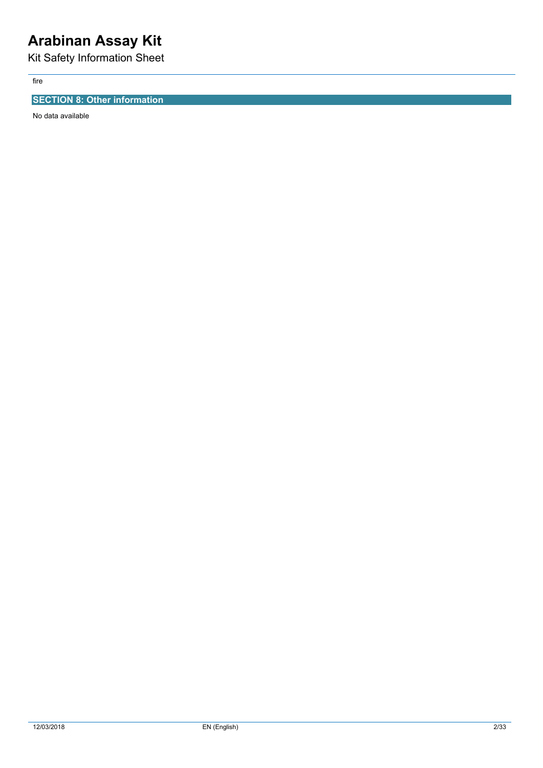# **Arabinan Assay Kit**

Kit Safety Information Sheet

fire

## **SECTION 8: Other information**

No data available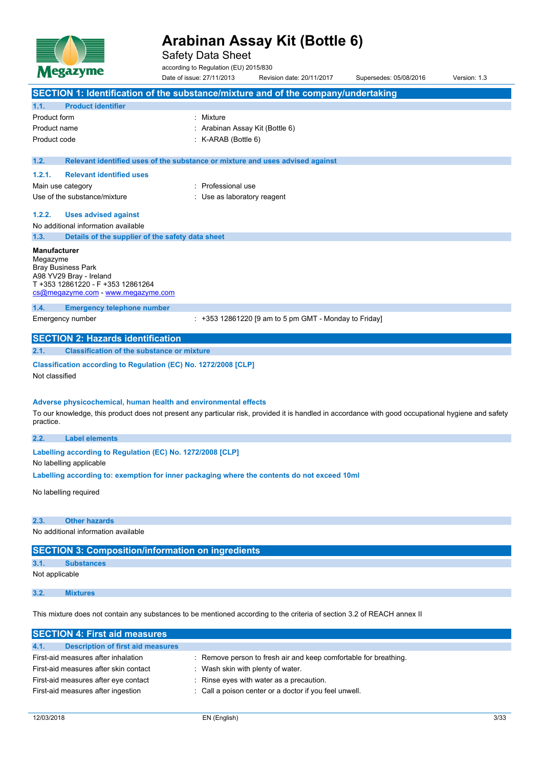

Safety Data Sheet

according to Regulation (EU) 2015/830

| Megazyme                                                                                                                                                         | Date of issue: 27/11/2013                                                     | Revision date: 20/11/2017                               | Supersedes: 05/08/2016 | Version: 1.3 |
|------------------------------------------------------------------------------------------------------------------------------------------------------------------|-------------------------------------------------------------------------------|---------------------------------------------------------|------------------------|--------------|
| SECTION 1: Identification of the substance/mixture and of the company/undertaking                                                                                |                                                                               |                                                         |                        |              |
| <b>Product identifier</b><br>1.1.                                                                                                                                |                                                                               |                                                         |                        |              |
| Product form                                                                                                                                                     | : Mixture                                                                     |                                                         |                        |              |
| Product name                                                                                                                                                     | : Arabinan Assay Kit (Bottle 6)                                               |                                                         |                        |              |
| Product code                                                                                                                                                     | : K-ARAB (Bottle 6)                                                           |                                                         |                        |              |
| 1.2.                                                                                                                                                             | Relevant identified uses of the substance or mixture and uses advised against |                                                         |                        |              |
| 1.2.1.<br><b>Relevant identified uses</b>                                                                                                                        |                                                                               |                                                         |                        |              |
| Main use category                                                                                                                                                | : Professional use                                                            |                                                         |                        |              |
| Use of the substance/mixture                                                                                                                                     | : Use as laboratory reagent                                                   |                                                         |                        |              |
| 1.2.2.<br><b>Uses advised against</b>                                                                                                                            |                                                                               |                                                         |                        |              |
| No additional information available                                                                                                                              |                                                                               |                                                         |                        |              |
| Details of the supplier of the safety data sheet<br>1.3.                                                                                                         |                                                                               |                                                         |                        |              |
| Manufacturer                                                                                                                                                     |                                                                               |                                                         |                        |              |
| Megazyme<br><b>Bray Business Park</b>                                                                                                                            |                                                                               |                                                         |                        |              |
| A98 YV29 Bray - Ireland                                                                                                                                          |                                                                               |                                                         |                        |              |
| T +353 12861220 - F +353 12861264<br>cs@megazyme.com - www.megazyme.com                                                                                          |                                                                               |                                                         |                        |              |
| 1.4.<br><b>Emergency telephone number</b>                                                                                                                        |                                                                               |                                                         |                        |              |
| Emergency number                                                                                                                                                 |                                                                               | $: +353$ 12861220 [9 am to 5 pm GMT - Monday to Friday] |                        |              |
| <b>SECTION 2: Hazards identification</b>                                                                                                                         |                                                                               |                                                         |                        |              |
| 2.1.<br><b>Classification of the substance or mixture</b>                                                                                                        |                                                                               |                                                         |                        |              |
| Classification according to Regulation (EC) No. 1272/2008 [CLP]                                                                                                  |                                                                               |                                                         |                        |              |
| Not classified                                                                                                                                                   |                                                                               |                                                         |                        |              |
|                                                                                                                                                                  |                                                                               |                                                         |                        |              |
| Adverse physicochemical, human health and environmental effects                                                                                                  |                                                                               |                                                         |                        |              |
| To our knowledge, this product does not present any particular risk, provided it is handled in accordance with good occupational hygiene and safety<br>practice. |                                                                               |                                                         |                        |              |
| <b>Label elements</b><br>2.2.                                                                                                                                    |                                                                               |                                                         |                        |              |
| Labelling according to Regulation (EC) No. 1272/2008 [CLP]                                                                                                       |                                                                               |                                                         |                        |              |
| No labelling applicable                                                                                                                                          |                                                                               |                                                         |                        |              |
| Labelling according to: exemption for inner packaging where the contents do not exceed 10ml                                                                      |                                                                               |                                                         |                        |              |
| No labelling required                                                                                                                                            |                                                                               |                                                         |                        |              |
|                                                                                                                                                                  |                                                                               |                                                         |                        |              |
| 2.3.<br><b>Other hazards</b>                                                                                                                                     |                                                                               |                                                         |                        |              |
| No additional information available                                                                                                                              |                                                                               |                                                         |                        |              |
| <b>SECTION 3: Composition/information on ingredients</b>                                                                                                         |                                                                               |                                                         |                        |              |
| 3.1.<br><b>Substances</b>                                                                                                                                        |                                                                               |                                                         |                        |              |
| Not applicable                                                                                                                                                   |                                                                               |                                                         |                        |              |
| 3.2.<br><b>Mixtures</b>                                                                                                                                          |                                                                               |                                                         |                        |              |
|                                                                                                                                                                  |                                                                               |                                                         |                        |              |
| This mixture does not contain any substances to be mentioned according to the criteria of section 3.2 of REACH annex II                                          |                                                                               |                                                         |                        |              |

**SECTION 4: First aid measures 4.1. Description of first aid measures** First-aid measures after inhalation : Remove person to fresh air and keep comfortable for breathing. First-aid measures after skin contact : Wash skin with plenty of water. First-aid measures after eye contact : Rinse eyes with water as a precaution. First-aid measures after ingestion : Call a poison center or a doctor if you feel unwell.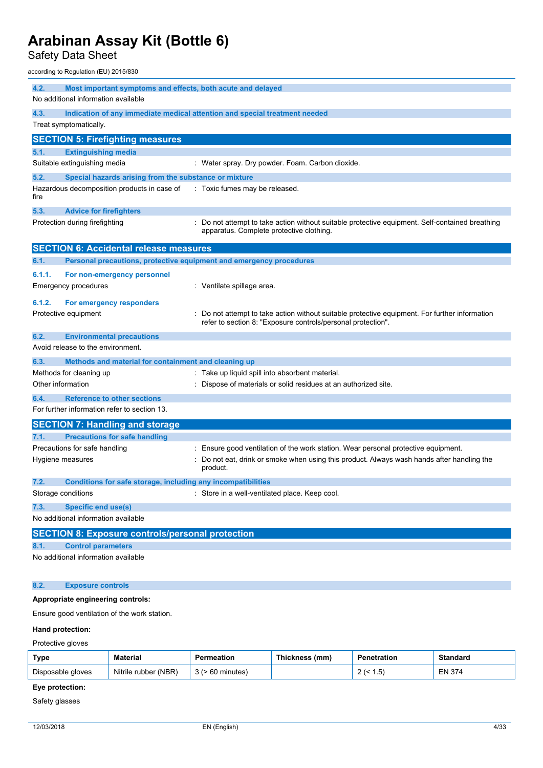Safety Data Sheet

according to Regulation (EU) 2015/830

| 4.2.   | Most important symptoms and effects, both acute and delayed         |                                                                                                                                                              |
|--------|---------------------------------------------------------------------|--------------------------------------------------------------------------------------------------------------------------------------------------------------|
|        | No additional information available                                 |                                                                                                                                                              |
| 4.3.   |                                                                     | Indication of any immediate medical attention and special treatment needed                                                                                   |
|        | Treat symptomatically.                                              |                                                                                                                                                              |
|        | <b>SECTION 5: Firefighting measures</b>                             |                                                                                                                                                              |
| 5.1.   | <b>Extinguishing media</b>                                          |                                                                                                                                                              |
|        | Suitable extinguishing media                                        | : Water spray. Dry powder. Foam. Carbon dioxide.                                                                                                             |
| 5.2.   | Special hazards arising from the substance or mixture               |                                                                                                                                                              |
| fire   | Hazardous decomposition products in case of                         | : Toxic fumes may be released.                                                                                                                               |
| 5.3.   | <b>Advice for firefighters</b>                                      |                                                                                                                                                              |
|        | Protection during firefighting                                      | : Do not attempt to take action without suitable protective equipment. Self-contained breathing<br>apparatus. Complete protective clothing.                  |
|        | <b>SECTION 6: Accidental release measures</b>                       |                                                                                                                                                              |
| 6.1.   | Personal precautions, protective equipment and emergency procedures |                                                                                                                                                              |
| 6.1.1. | For non-emergency personnel                                         |                                                                                                                                                              |
|        | Emergency procedures                                                | : Ventilate spillage area.                                                                                                                                   |
| 6.1.2. | For emergency responders                                            |                                                                                                                                                              |
|        | Protective equipment                                                | Do not attempt to take action without suitable protective equipment. For further information<br>refer to section 8: "Exposure controls/personal protection". |
| 6.2.   | <b>Environmental precautions</b>                                    |                                                                                                                                                              |
|        | Avoid release to the environment.                                   |                                                                                                                                                              |
| 6.3.   | Methods and material for containment and cleaning up                |                                                                                                                                                              |
|        | Methods for cleaning up                                             | : Take up liquid spill into absorbent material.                                                                                                              |
|        | Other information                                                   | Dispose of materials or solid residues at an authorized site.                                                                                                |
| 6.4.   | <b>Reference to other sections</b>                                  |                                                                                                                                                              |
|        | For further information refer to section 13.                        |                                                                                                                                                              |
|        | <b>SECTION 7: Handling and storage</b>                              |                                                                                                                                                              |
| 7.1.   | <b>Precautions for safe handling</b>                                |                                                                                                                                                              |
|        | Precautions for safe handling                                       | Ensure good ventilation of the work station. Wear personal protective equipment.                                                                             |
|        | Hygiene measures                                                    | Do not eat, drink or smoke when using this product. Always wash hands after handling the<br>product.                                                         |
| 7.2.   | Conditions for safe storage, including any incompatibilities        |                                                                                                                                                              |
|        | Storage conditions                                                  | : Store in a well-ventilated place. Keep cool.                                                                                                               |
| 7.3.   | <b>Specific end use(s)</b>                                          |                                                                                                                                                              |
|        | No additional information available                                 |                                                                                                                                                              |
|        | <b>SECTION 8: Exposure controls/personal protection</b>             |                                                                                                                                                              |
| 8.1.   | <b>Control parameters</b>                                           |                                                                                                                                                              |
|        | No additional information available                                 |                                                                                                                                                              |
| 8.2.   | <b>Exposure controls</b>                                            |                                                                                                                                                              |

## **Appropriate engineering controls:**

Ensure good ventilation of the work station.

### **Hand protection:**

Protective gloves

| Type              | <b>Material</b>      | Permeation | Thickness (mm) | <b>Penetration</b>    | Standard      |
|-------------------|----------------------|------------|----------------|-----------------------|---------------|
| Disposable gloves | Nitrile rubber (NBR) | 60 minutes |                | <b>.</b><br>ں. ا<br>- | <b>EN 374</b> |

## **Eye protection:**

Safety glasses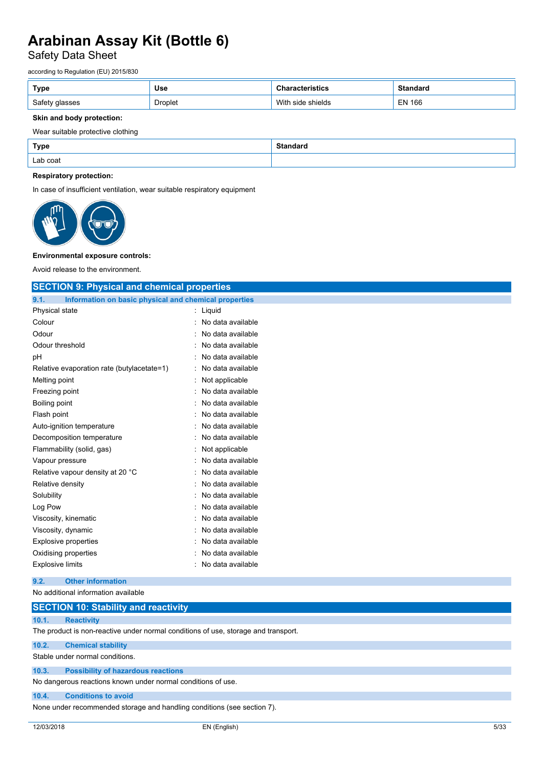## Safety Data Sheet

according to Regulation (EU) 2015/830

| Type           | <b>Use</b>     | ristics              | <b>Standard</b> |
|----------------|----------------|----------------------|-----------------|
| Safety glasses | <b>Droplet</b> | With<br>side shields | <b>EN 166</b>   |

### **Skin and body protection:**

### Wear suitable protective clothing

| <b>Type</b> | Standaro |
|-------------|----------|
| Lab coat    |          |

### **Respiratory protection:**

In case of insufficient ventilation, wear suitable respiratory equipment



#### **Environmental exposure controls:**

Avoid release to the environment.

| <b>SECTION 9: Physical and chemical properties</b>            |                     |
|---------------------------------------------------------------|---------------------|
| Information on basic physical and chemical properties<br>9.1. |                     |
| Physical state                                                | $:$ Liquid          |
| Colour                                                        | : No data available |
| Odour                                                         | No data available   |
| Odour threshold                                               | No data available   |
| pH                                                            | No data available   |
| Relative evaporation rate (butylacetate=1)                    | : No data available |
| Melting point                                                 | Not applicable      |
| Freezing point                                                | No data available   |
| Boiling point                                                 | No data available   |
| Flash point                                                   | : No data available |
| Auto-ignition temperature                                     | No data available   |
| Decomposition temperature                                     | No data available   |
| Flammability (solid, gas)                                     | Not applicable      |
| Vapour pressure                                               | : No data available |
| Relative vapour density at 20 °C                              | No data available   |
| Relative density                                              | No data available   |
| Solubility                                                    | No data available   |
| Log Pow                                                       | : No data available |
| Viscosity, kinematic                                          | No data available   |
| Viscosity, dynamic                                            | No data available   |
| <b>Explosive properties</b>                                   | No data available   |
| Oxidising properties                                          | : No data available |
| <b>Explosive limits</b>                                       | No data available   |
| <b>Other information</b><br>9.2.                              |                     |
| No additional information available                           |                     |

## **SECTION 10: Stability and reactivity**

### **10.1. Reactivity**

The product is non-reactive under normal conditions of use, storage and transport.

### **10.2. Chemical stability**

Stable under normal conditions.

## **10.3. Possibility of hazardous reactions**

No dangerous reactions known under normal conditions of use.

#### **10.4. Conditions to avoid**

None under recommended storage and handling conditions (see section 7).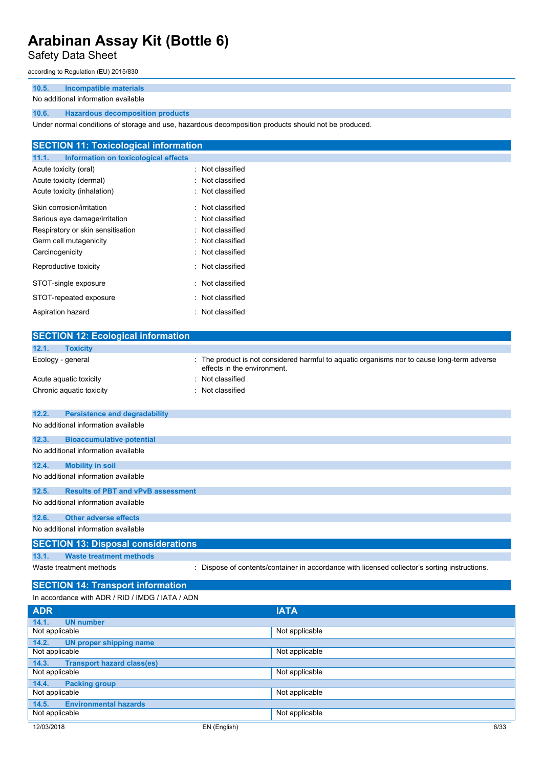## Safety Data Sheet

according to Regulation (EU) 2015/830

## **10.5. Incompatible materials**

### No additional information available

## **10.6. Hazardous decomposition products**

Under normal conditions of storage and use, hazardous decomposition products should not be produced.

| <b>SECTION 11: Toxicological information</b>  |                  |
|-----------------------------------------------|------------------|
| 11.1.<br>Information on toxicological effects |                  |
| Acute toxicity (oral)                         | : Not classified |
| Acute toxicity (dermal)                       | : Not classified |
| Acute toxicity (inhalation)                   | : Not classified |
| Skin corrosion/irritation                     | : Not classified |
| Serious eye damage/irritation                 | : Not classified |
| Respiratory or skin sensitisation             | : Not classified |
| Germ cell mutagenicity                        | : Not classified |
| Carcinogenicity                               | : Not classified |
| Reproductive toxicity                         | : Not classified |
| STOT-single exposure                          | : Not classified |
| STOT-repeated exposure                        | : Not classified |
| Aspiration hazard                             | : Not classified |

| <b>SECTION 12: Ecological information</b>          |                                                                                                                            |
|----------------------------------------------------|----------------------------------------------------------------------------------------------------------------------------|
| 12.1.<br><b>Toxicity</b>                           |                                                                                                                            |
| Ecology - general                                  | : The product is not considered harmful to aquatic organisms nor to cause long-term adverse<br>effects in the environment. |
| Acute aquatic toxicity                             | : Not classified                                                                                                           |
| Chronic aquatic toxicity                           | Not classified                                                                                                             |
|                                                    |                                                                                                                            |
| 12.2.<br><b>Persistence and degradability</b>      |                                                                                                                            |
| No additional information available                |                                                                                                                            |
| 12.3.<br><b>Bioaccumulative potential</b>          |                                                                                                                            |
| No additional information available                |                                                                                                                            |
| <b>Mobility in soil</b><br>12.4.                   |                                                                                                                            |
| No additional information available                |                                                                                                                            |
| 12.5.<br><b>Results of PBT and vPvB assessment</b> |                                                                                                                            |
| No additional information available                |                                                                                                                            |
| 12.6.<br><b>Other adverse effects</b>              |                                                                                                                            |
| No additional information available                |                                                                                                                            |
| <b>SECTION 13: Disposal considerations</b>         |                                                                                                                            |
| <b>Waste treatment methods</b><br>13.1.            |                                                                                                                            |
| Waste treatment methods                            | : Dispose of contents/container in accordance with licensed collector's sorting instructions.                              |
| <b>SECTION 14: Transport information</b>           |                                                                                                                            |
| In accordance with ADR / RID / IMDG / IATA / ADN   |                                                                                                                            |
|                                                    |                                                                                                                            |
| <b>ADR</b>                                         | <b>IATA</b>                                                                                                                |
| 14.1.<br><b>UN number</b><br>$\cdot$               | .                                                                                                                          |

| 14.1.<br><b>UN number</b>                  |                      |
|--------------------------------------------|----------------------|
| Not applicable                             | Not applicable       |
| 14.2.<br>UN proper shipping name           |                      |
| Not applicable                             | Not applicable       |
| <b>Transport hazard class(es)</b><br>14.3. |                      |
| Not applicable                             | Not applicable       |
| 14.4.<br><b>Packing group</b>              |                      |
| Not applicable                             | Not applicable       |
| <b>Environmental hazards</b><br>14.5.      |                      |
| Not applicable                             | Not applicable       |
| 12/03/2018                                 | 6/33<br>EN (English) |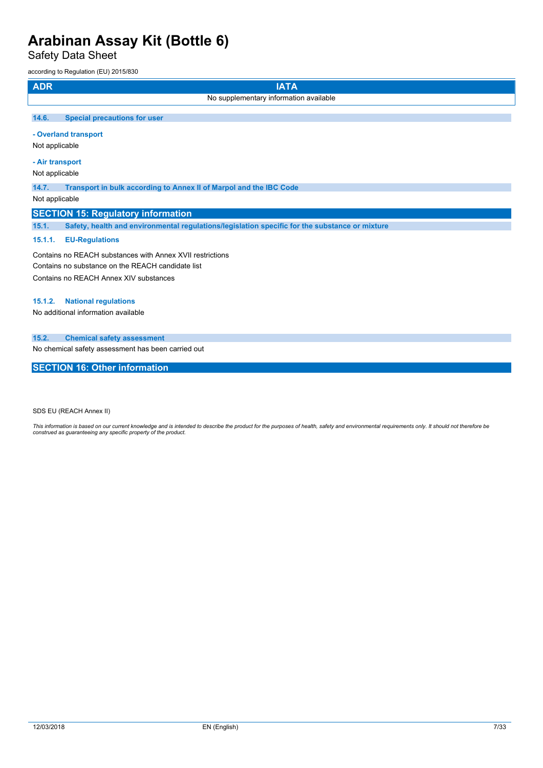Safety Data Sheet

according to Regulation (EU) 2015/830

| <b>ADR</b> | <b>IATA</b>                                                                                    |
|------------|------------------------------------------------------------------------------------------------|
|            | No supplementary information available                                                         |
| 14.6.      | <b>Special precautions for user</b>                                                            |
|            | - Overland transport                                                                           |
|            | Not applicable                                                                                 |
|            | - Air transport                                                                                |
|            | Not applicable                                                                                 |
| 14.7.      | Transport in bulk according to Annex II of Marpol and the IBC Code                             |
|            | Not applicable                                                                                 |
|            | <b>SECTION 15: Regulatory information</b>                                                      |
| 15.1.      | Safety, health and environmental regulations/legislation specific for the substance or mixture |
|            |                                                                                                |

## **15.1.1. EU-Regulations**

Contains no REACH substances with Annex XVII restrictions Contains no substance on the REACH candidate list Contains no REACH Annex XIV substances

## **15.1.2. National regulations**

No additional information available

## **15.2. Chemical safety assessment**

No chemical safety assessment has been carried out

## **SECTION 16: Other information**

SDS EU (REACH Annex II)

This information is based on our current knowledge and is intended to describe the product for the purposes of health, safety and environmental requirements only. It should not therefore be<br>construed as guaranteeing any sp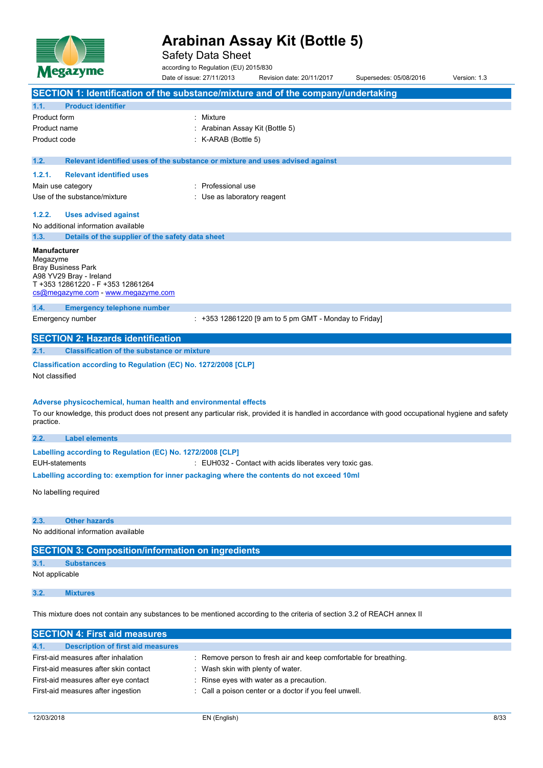

Safety Data Sheet

according to Regulation (EU) 2015/830

|                                                                                                                                                     | Date of issue: 27/11/2013                                                     | Revision date: 20/11/2017                               | Supersedes: 05/08/2016 | Version: 1.3 |  |  |
|-----------------------------------------------------------------------------------------------------------------------------------------------------|-------------------------------------------------------------------------------|---------------------------------------------------------|------------------------|--------------|--|--|
| SECTION 1: Identification of the substance/mixture and of the company/undertaking                                                                   |                                                                               |                                                         |                        |              |  |  |
| <b>Product identifier</b><br>1.1.                                                                                                                   |                                                                               |                                                         |                        |              |  |  |
| Product form                                                                                                                                        | : Mixture                                                                     |                                                         |                        |              |  |  |
| Product name                                                                                                                                        |                                                                               | Arabinan Assay Kit (Bottle 5)                           |                        |              |  |  |
| Product code                                                                                                                                        | K-ARAB (Bottle 5)                                                             |                                                         |                        |              |  |  |
|                                                                                                                                                     |                                                                               |                                                         |                        |              |  |  |
| 1.2.                                                                                                                                                | Relevant identified uses of the substance or mixture and uses advised against |                                                         |                        |              |  |  |
| 1.2.1.<br><b>Relevant identified uses</b>                                                                                                           |                                                                               |                                                         |                        |              |  |  |
| Main use category                                                                                                                                   | : Professional use                                                            |                                                         |                        |              |  |  |
| Use of the substance/mixture                                                                                                                        | : Use as laboratory reagent                                                   |                                                         |                        |              |  |  |
| 1.2.2.<br><b>Uses advised against</b>                                                                                                               |                                                                               |                                                         |                        |              |  |  |
| No additional information available                                                                                                                 |                                                                               |                                                         |                        |              |  |  |
| 1.3.<br>Details of the supplier of the safety data sheet                                                                                            |                                                                               |                                                         |                        |              |  |  |
| <b>Manufacturer</b>                                                                                                                                 |                                                                               |                                                         |                        |              |  |  |
| Megazyme                                                                                                                                            |                                                                               |                                                         |                        |              |  |  |
| <b>Bray Business Park</b>                                                                                                                           |                                                                               |                                                         |                        |              |  |  |
| A98 YV29 Bray - Ireland<br>T +353 12861220 - F +353 12861264                                                                                        |                                                                               |                                                         |                        |              |  |  |
| cs@megazyme.com - www.megazyme.com                                                                                                                  |                                                                               |                                                         |                        |              |  |  |
| 1.4.<br><b>Emergency telephone number</b>                                                                                                           |                                                                               |                                                         |                        |              |  |  |
| Emergency number                                                                                                                                    |                                                                               | $: +353$ 12861220 [9 am to 5 pm GMT - Monday to Friday] |                        |              |  |  |
| <b>SECTION 2: Hazards identification</b>                                                                                                            |                                                                               |                                                         |                        |              |  |  |
|                                                                                                                                                     |                                                                               |                                                         |                        |              |  |  |
| <b>Classification of the substance or mixture</b><br>2.1.                                                                                           |                                                                               |                                                         |                        |              |  |  |
| Classification according to Regulation (EC) No. 1272/2008 [CLP]                                                                                     |                                                                               |                                                         |                        |              |  |  |
| Not classified                                                                                                                                      |                                                                               |                                                         |                        |              |  |  |
|                                                                                                                                                     |                                                                               |                                                         |                        |              |  |  |
|                                                                                                                                                     | Adverse physicochemical, human health and environmental effects               |                                                         |                        |              |  |  |
| To our knowledge, this product does not present any particular risk, provided it is handled in accordance with good occupational hygiene and safety |                                                                               |                                                         |                        |              |  |  |
|                                                                                                                                                     |                                                                               |                                                         |                        |              |  |  |
| practice.                                                                                                                                           |                                                                               |                                                         |                        |              |  |  |
| <b>Label elements</b><br>2.2.                                                                                                                       |                                                                               |                                                         |                        |              |  |  |
| Labelling according to Regulation (EC) No. 1272/2008 [CLP]                                                                                          |                                                                               |                                                         |                        |              |  |  |
| <b>EUH-statements</b>                                                                                                                               |                                                                               | : EUH032 - Contact with acids liberates very toxic gas. |                        |              |  |  |
| Labelling according to: exemption for inner packaging where the contents do not exceed 10ml                                                         |                                                                               |                                                         |                        |              |  |  |
|                                                                                                                                                     |                                                                               |                                                         |                        |              |  |  |
| No labelling required                                                                                                                               |                                                                               |                                                         |                        |              |  |  |
|                                                                                                                                                     |                                                                               |                                                         |                        |              |  |  |
| 2.3.<br><b>Other hazards</b>                                                                                                                        |                                                                               |                                                         |                        |              |  |  |
| No additional information available                                                                                                                 |                                                                               |                                                         |                        |              |  |  |
| <b>SECTION 3: Composition/information on ingredients</b>                                                                                            |                                                                               |                                                         |                        |              |  |  |
| 3.1.<br><b>Substances</b>                                                                                                                           |                                                                               |                                                         |                        |              |  |  |
| Not applicable                                                                                                                                      |                                                                               |                                                         |                        |              |  |  |
|                                                                                                                                                     |                                                                               |                                                         |                        |              |  |  |
| 3.2.<br><b>Mixtures</b>                                                                                                                             |                                                                               |                                                         |                        |              |  |  |

| <b>SECTION 4: First aid measures</b>      |                                                                  |
|-------------------------------------------|------------------------------------------------------------------|
| Description of first aid measures<br>4.1. |                                                                  |
| First-aid measures after inhalation       | : Remove person to fresh air and keep comfortable for breathing. |
| First-aid measures after skin contact     | Wash skin with plenty of water.                                  |
| First-aid measures after eye contact      | : Rinse eyes with water as a precaution.                         |
| First-aid measures after ingestion        | : Call a poison center or a doctor if you feel unwell.           |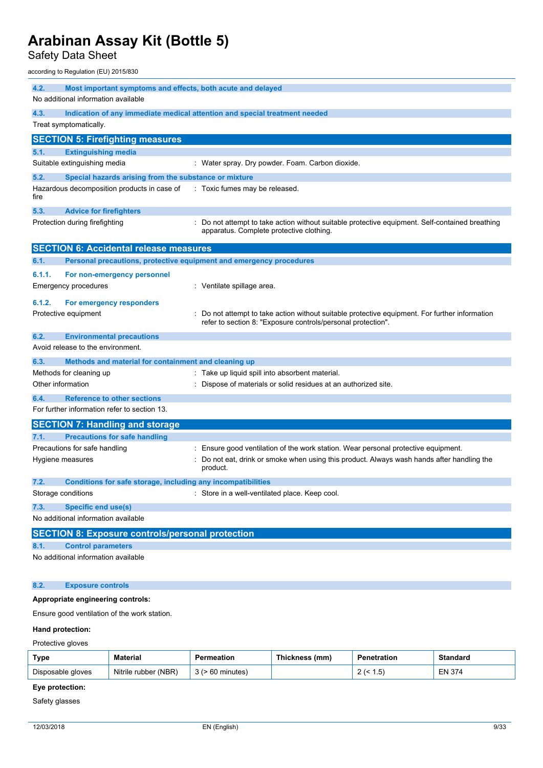Safety Data Sheet

according to Regulation (EU) 2015/830

| 4.2.<br>Most important symptoms and effects, both acute and delayed |                                                                            |                                                                                                                                                              |  |  |
|---------------------------------------------------------------------|----------------------------------------------------------------------------|--------------------------------------------------------------------------------------------------------------------------------------------------------------|--|--|
| No additional information available                                 |                                                                            |                                                                                                                                                              |  |  |
| 4.3.                                                                | Indication of any immediate medical attention and special treatment needed |                                                                                                                                                              |  |  |
|                                                                     | Treat symptomatically.                                                     |                                                                                                                                                              |  |  |
|                                                                     | <b>SECTION 5: Firefighting measures</b>                                    |                                                                                                                                                              |  |  |
| 5.1.                                                                | <b>Extinguishing media</b>                                                 |                                                                                                                                                              |  |  |
|                                                                     | Suitable extinguishing media                                               | : Water spray. Dry powder. Foam. Carbon dioxide.                                                                                                             |  |  |
| 5.2.                                                                | Special hazards arising from the substance or mixture                      |                                                                                                                                                              |  |  |
| fire                                                                | Hazardous decomposition products in case of                                | : Toxic fumes may be released.                                                                                                                               |  |  |
| 5.3.                                                                | <b>Advice for firefighters</b>                                             |                                                                                                                                                              |  |  |
|                                                                     | Protection during firefighting                                             | Do not attempt to take action without suitable protective equipment. Self-contained breathing<br>apparatus. Complete protective clothing.                    |  |  |
|                                                                     | <b>SECTION 6: Accidental release measures</b>                              |                                                                                                                                                              |  |  |
| 6.1.                                                                | Personal precautions, protective equipment and emergency procedures        |                                                                                                                                                              |  |  |
| 6.1.1.                                                              | For non-emergency personnel                                                |                                                                                                                                                              |  |  |
|                                                                     | <b>Emergency procedures</b>                                                | : Ventilate spillage area.                                                                                                                                   |  |  |
| 6.1.2.                                                              | For emergency responders                                                   |                                                                                                                                                              |  |  |
|                                                                     | Protective equipment                                                       | Do not attempt to take action without suitable protective equipment. For further information<br>refer to section 8: "Exposure controls/personal protection". |  |  |
| 6.2.                                                                | <b>Environmental precautions</b>                                           |                                                                                                                                                              |  |  |
|                                                                     | Avoid release to the environment.                                          |                                                                                                                                                              |  |  |
| 6.3.                                                                | Methods and material for containment and cleaning up                       |                                                                                                                                                              |  |  |
|                                                                     | Methods for cleaning up                                                    | : Take up liquid spill into absorbent material.                                                                                                              |  |  |
| Other information                                                   |                                                                            | : Dispose of materials or solid residues at an authorized site.                                                                                              |  |  |
| 6.4.                                                                | <b>Reference to other sections</b>                                         |                                                                                                                                                              |  |  |
|                                                                     | For further information refer to section 13.                               |                                                                                                                                                              |  |  |
|                                                                     | <b>SECTION 7: Handling and storage</b>                                     |                                                                                                                                                              |  |  |
| 7.1.                                                                | <b>Precautions for safe handling</b>                                       |                                                                                                                                                              |  |  |
|                                                                     | Precautions for safe handling                                              | Ensure good ventilation of the work station. Wear personal protective equipment.                                                                             |  |  |
|                                                                     | Hygiene measures                                                           | Do not eat, drink or smoke when using this product. Always wash hands after handling the<br>product.                                                         |  |  |
| 7.2.                                                                | <b>Conditions for safe storage, including any incompatibilities</b>        |                                                                                                                                                              |  |  |
|                                                                     | Storage conditions                                                         | : Store in a well-ventilated place. Keep cool.                                                                                                               |  |  |
| 7.3.                                                                | <b>Specific end use(s)</b>                                                 |                                                                                                                                                              |  |  |
|                                                                     | No additional information available                                        |                                                                                                                                                              |  |  |
|                                                                     | <b>SECTION 8: Exposure controls/personal protection</b>                    |                                                                                                                                                              |  |  |
| 8.1.                                                                | <b>Control parameters</b>                                                  |                                                                                                                                                              |  |  |
|                                                                     | No additional information available                                        |                                                                                                                                                              |  |  |
| 8.2.                                                                | <b>Exposure controls</b>                                                   |                                                                                                                                                              |  |  |

## **Appropriate engineering controls:**

Ensure good ventilation of the work station.

### **Hand protection:**

Protective gloves

| Type              | Material             | meatior | <b>Thickness</b><br>(mm) | etration              | Standard      |
|-------------------|----------------------|---------|--------------------------|-----------------------|---------------|
| Disposable gloves | Nitrile rubber (NBR) | minutes |                          | 5<br>، ب.<br><u>_</u> | <b>EN 374</b> |

## **Eye protection:**

Safety glasses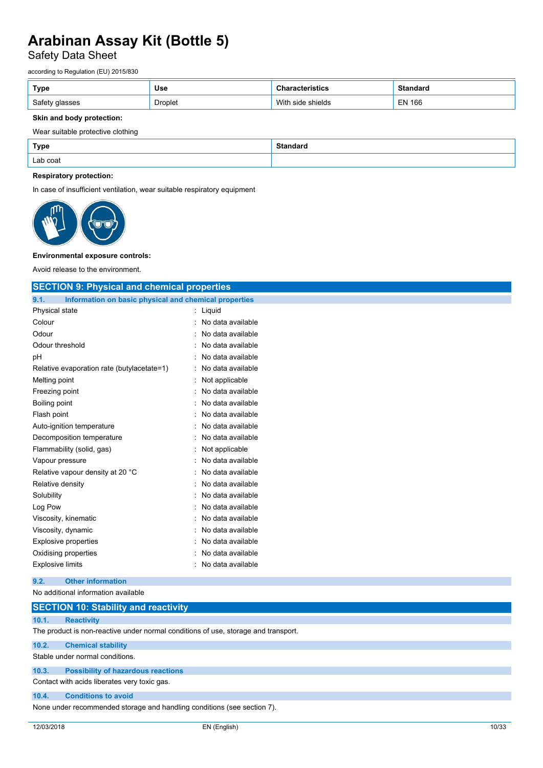## Safety Data Sheet

according to Regulation (EU) 2015/830

| Type           | <b>Use</b> | stics                | Standard      |
|----------------|------------|----------------------|---------------|
| Safety glasses | Droplet    | With<br>side shields | <b>EN 166</b> |

### **Skin and body protection:**

### Wear suitable protective clothing

| <b>Type</b> | Standarg |
|-------------|----------|
| Lab coat    |          |

### **Respiratory protection:**

In case of insufficient ventilation, wear suitable respiratory equipment



#### **Environmental exposure controls:**

Avoid release to the environment.

| <b>SECTION 9: Physical and chemical properties</b>            |                     |  |
|---------------------------------------------------------------|---------------------|--|
| 9.1.<br>Information on basic physical and chemical properties |                     |  |
| Physical state                                                | : Liquid            |  |
| Colour                                                        | : No data available |  |
| Odour                                                         | No data available   |  |
| Odour threshold                                               | : No data available |  |
| pH                                                            | : No data available |  |
| Relative evaporation rate (butylacetate=1)                    | : No data available |  |
| Melting point                                                 | : Not applicable    |  |
| Freezing point                                                | : No data available |  |
| Boiling point                                                 | : No data available |  |
| Flash point                                                   | : No data available |  |
| Auto-ignition temperature                                     | : No data available |  |
| Decomposition temperature                                     | : No data available |  |
| Flammability (solid, gas)                                     | : Not applicable    |  |
| Vapour pressure                                               | : No data available |  |
| Relative vapour density at 20 °C                              | : No data available |  |
| Relative density                                              | : No data available |  |
| Solubility                                                    | : No data available |  |
| Log Pow                                                       | No data available   |  |
| Viscosity, kinematic                                          | : No data available |  |
| Viscosity, dynamic                                            | : No data available |  |
| <b>Explosive properties</b>                                   | : No data available |  |
| Oxidising properties                                          | No data available   |  |
| <b>Explosive limits</b>                                       | : No data available |  |
| <b>Other information</b><br>9.2.                              |                     |  |
| No additional information available                           |                     |  |

## **SECTION 10: Stability and reactivity**

### **10.1. Reactivity**

The product is non-reactive under normal conditions of use, storage and transport.

### **10.2. Chemical stability**

Stable under normal conditions.

## **10.3. Possibility of hazardous reactions**

Contact with acids liberates very toxic gas.

### **10.4. Conditions to avoid**

None under recommended storage and handling conditions (see section 7).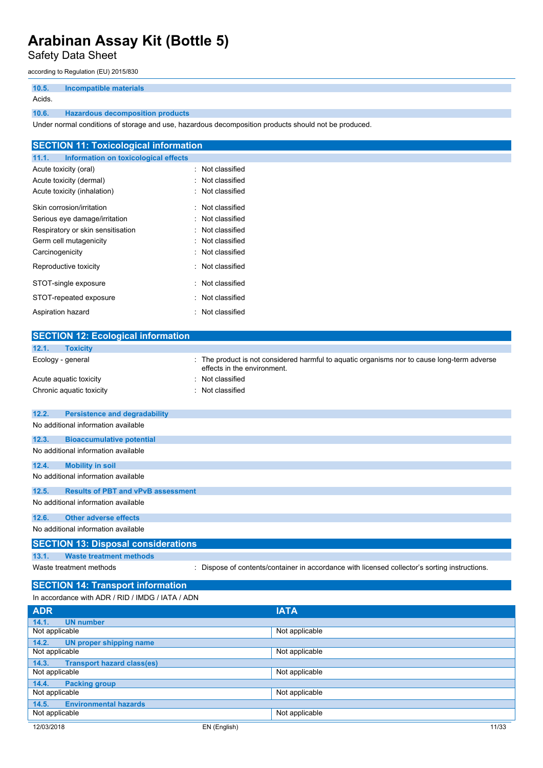Safety Data Sheet

according to Regulation (EU) 2015/830

**10.5. Incompatible materials** Acids.

## **10.6. Hazardous decomposition products**

Under normal conditions of storage and use, hazardous decomposition products should not be produced.

| <b>SECTION 11: Toxicological information</b>  |                  |
|-----------------------------------------------|------------------|
| 11.1.<br>Information on toxicological effects |                  |
| Acute toxicity (oral)                         | : Not classified |
| Acute toxicity (dermal)                       | : Not classified |
| Acute toxicity (inhalation)                   | : Not classified |
| Skin corrosion/irritation                     | : Not classified |
| Serious eye damage/irritation                 | : Not classified |
| Respiratory or skin sensitisation             | : Not classified |
| Germ cell mutagenicity                        | : Not classified |
| Carcinogenicity                               | : Not classified |
| Reproductive toxicity                         | : Not classified |
| STOT-single exposure                          | : Not classified |
| STOT-repeated exposure                        | : Not classified |
| Aspiration hazard                             | : Not classified |

| <b>SECTION 12: Ecological information</b>          |                                                                                                                          |
|----------------------------------------------------|--------------------------------------------------------------------------------------------------------------------------|
| 12.1.<br><b>Toxicity</b>                           |                                                                                                                          |
| Ecology - general                                  | The product is not considered harmful to aquatic organisms nor to cause long-term adverse<br>effects in the environment. |
| Acute aquatic toxicity                             | Not classified                                                                                                           |
| Chronic aquatic toxicity                           | Not classified                                                                                                           |
| 12.2.<br><b>Persistence and degradability</b>      |                                                                                                                          |
| No additional information available                |                                                                                                                          |
| 12.3.<br><b>Bioaccumulative potential</b>          |                                                                                                                          |
| No additional information available                |                                                                                                                          |
| 12.4.<br><b>Mobility in soil</b>                   |                                                                                                                          |
| No additional information available                |                                                                                                                          |
| <b>Results of PBT and vPvB assessment</b><br>12.5. |                                                                                                                          |
| No additional information available                |                                                                                                                          |
| 12.6.<br><b>Other adverse effects</b>              |                                                                                                                          |
| No additional information available                |                                                                                                                          |
| <b>SECTION 13: Disposal considerations</b>         |                                                                                                                          |
| 13.1.<br><b>Waste treatment methods</b>            |                                                                                                                          |
| Waste treatment methods                            | Dispose of contents/container in accordance with licensed collector's sorting instructions.                              |
| <b>SECTION 14: Transport information</b>           |                                                                                                                          |
| In accordance with ADR / RID / IMDG / IATA / ADN   |                                                                                                                          |

| <b>ADR</b>                                 | <b>IATA</b>    |       |
|--------------------------------------------|----------------|-------|
| 14.1.<br><b>UN number</b>                  |                |       |
| Not applicable                             | Not applicable |       |
| <b>UN proper shipping name</b><br>14.2.    |                |       |
| Not applicable                             | Not applicable |       |
| <b>Transport hazard class(es)</b><br>14.3. |                |       |
| Not applicable                             | Not applicable |       |
| 14.4.<br><b>Packing group</b>              |                |       |
| Not applicable                             | Not applicable |       |
| <b>Environmental hazards</b><br>14.5.      |                |       |
| Not applicable                             | Not applicable |       |
| 12/03/2018                                 | EN (English)   | 11/33 |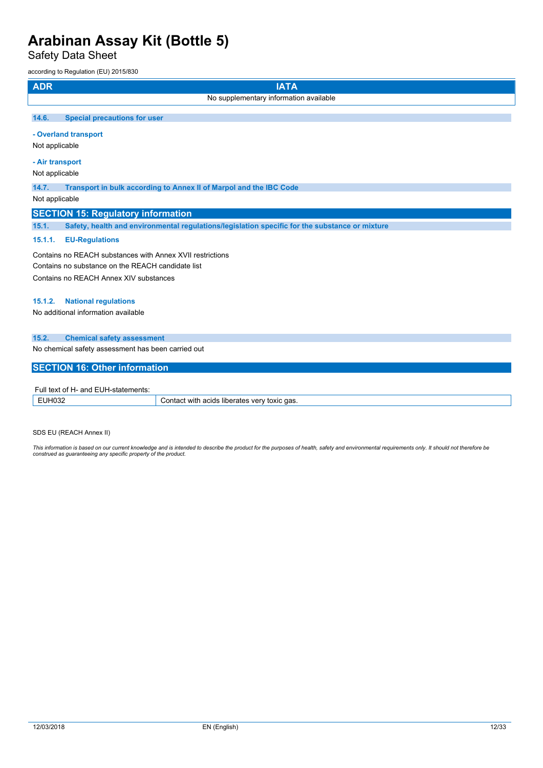Safety Data Sheet

 $0.2015/830$ 

| <b>ADR</b>      | <b>IATA</b>                                                                                    |
|-----------------|------------------------------------------------------------------------------------------------|
|                 | No supplementary information available                                                         |
| 14.6.           | <b>Special precautions for user</b>                                                            |
|                 | - Overland transport                                                                           |
| Not applicable  |                                                                                                |
| - Air transport |                                                                                                |
| Not applicable  |                                                                                                |
| 14.7.           | Transport in bulk according to Annex II of Marpol and the IBC Code                             |
| Not applicable  |                                                                                                |
|                 | <b>SECTION 15: Regulatory information</b>                                                      |
| 15.1.           | Safety, health and environmental regulations/legislation specific for the substance or mixture |
| 15.1.1.         | <b>EU-Regulations</b>                                                                          |
|                 | Contains no REACH substances with Annex XVII restrictions                                      |
|                 | Contains no substance on the REACH candidate list                                              |
|                 | Contains no REACH Annex XIV substances                                                         |
| 15.1.2.         | <b>National regulations</b>                                                                    |
|                 | No additional information available                                                            |
| 15.2.           | <b>Chemical safety assessment</b>                                                              |
|                 | No chemical safety assessment has been carried out                                             |
|                 | <b>SECTION 16: Other information</b>                                                           |
|                 | Full toyt of H- and FLIH-statements:                                                           |

| ull<br>and<br>ΩТ<br>11.S |                                                                                     |
|--------------------------|-------------------------------------------------------------------------------------|
| - וטטב<br>_____          | ` das.<br>with.<br>ำnt⊱<br>$\sim$<br>veı<br>τοχις<br>פחו: .<br>liner.<br>ате:<br>нı |

SDS EU (REACH Annex II)

This information is based on our current knowledge and is intended to describe the product for the purposes of health, safety and environmental requirements only. It should not therefore be<br>construed as guaranteeing any sp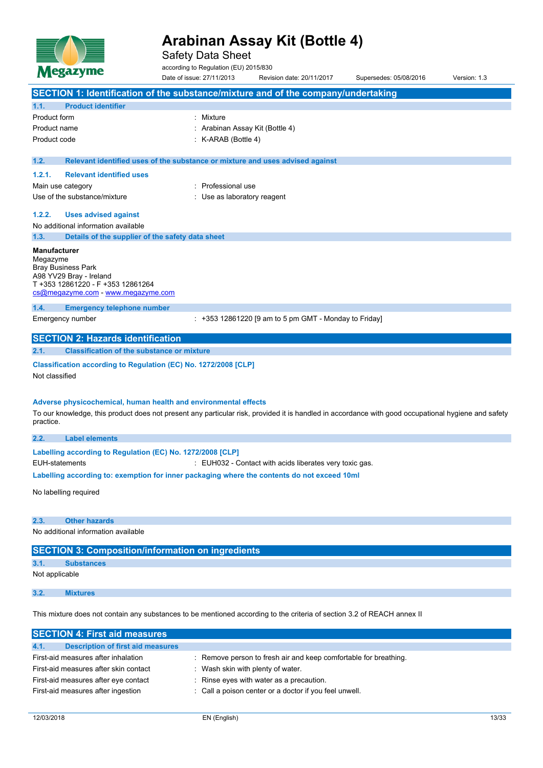

Safety Data Sheet

according to Regulation (EU) 2015/830

Date of issue: 27/11/2013 Revision date: 20/11/2017 Supersedes: 05/08/2016 Version: 1.3 **SECTION 1: Identification of the substance/mixture and of the company/undertaking 1.1. Product identifier** Product form : Nixture Product name : Arabinan Assay Kit (Bottle 4) Product code : K-ARAB (Bottle 4) **1.2. Relevant identified uses of the substance or mixture and uses advised against 1.2.1. Relevant identified uses** Main use category **in the set of the COV** and Main use the Main use Use of the substance/mixture in the substance/mixture in the substance of the substance of the substance of the substance of the substance of the substance of the substance of the substance of the substance of the substanc **1.2.2. Uses advised against** No additional information available **1.3. Details of the supplier of the safety data sheet Manufacturer** Megazyme Bray Business Park A98 YV29 Bray - Ireland T +353 12861220 - F +353 12861264 [cs@megazyme.com](mailto:cs@megazyme.com) - <www.megazyme.com> **1.4. Emergency telephone number** Emergency number : +353 12861220 [9 am to 5 pm GMT - Monday to Friday] **SECTION 2: Hazards identification 2.1. Classification of the substance or mixture Classification according to Regulation (EC) No. 1272/2008 [CLP]** Not classified **Adverse physicochemical, human health and environmental effects** To our knowledge, this product does not present any particular risk, provided it is handled in accordance with good occupational hygiene and safety practice. **2.2. Label elements Labelling according to** Regulation (EC) No. 1272/2008 [CLP] EUH-statements : EUH032 - Contact with acids liberates very toxic gas. **Labelling according to: exemption for inner packaging where the contents do not exceed 10ml** No labelling required **2.3. Other hazards** No additional information available **SECTION 3: Composition/information on ingredients 3.1. Substances** Not applicable **3.2. Mixtures**

This mixture does not contain any substances to be mentioned according to the criteria of section 3.2 of REACH annex II

| <b>SECTION 4: First aid measures</b>             |                                                                  |
|--------------------------------------------------|------------------------------------------------------------------|
| 4.1.<br><b>Description of first aid measures</b> |                                                                  |
| First-aid measures after inhalation              | : Remove person to fresh air and keep comfortable for breathing. |
| First-aid measures after skin contact            | Wash skin with plenty of water.                                  |
| First-aid measures after eye contact             | : Rinse eyes with water as a precaution.                         |
| First-aid measures after ingestion               | : Call a poison center or a doctor if you feel unwell.           |
|                                                  |                                                                  |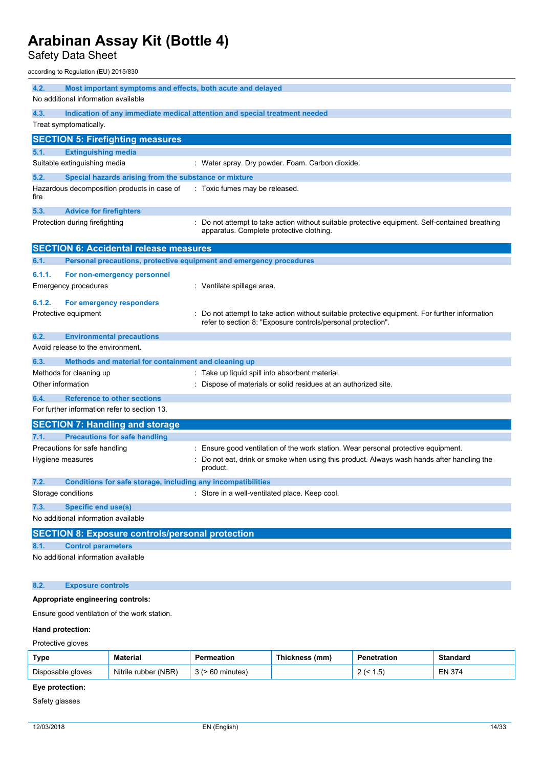Safety Data Sheet

according to Regulation (EU) 2015/830

| 4.2.<br>Most important symptoms and effects, both acute and delayed |                                                                     |                                                                                                                                                              |  |  |  |
|---------------------------------------------------------------------|---------------------------------------------------------------------|--------------------------------------------------------------------------------------------------------------------------------------------------------------|--|--|--|
|                                                                     | No additional information available                                 |                                                                                                                                                              |  |  |  |
| 4.3.                                                                |                                                                     | Indication of any immediate medical attention and special treatment needed                                                                                   |  |  |  |
|                                                                     | Treat symptomatically.                                              |                                                                                                                                                              |  |  |  |
|                                                                     | <b>SECTION 5: Firefighting measures</b>                             |                                                                                                                                                              |  |  |  |
| 5.1.                                                                | <b>Extinguishing media</b>                                          |                                                                                                                                                              |  |  |  |
|                                                                     | Suitable extinguishing media                                        | : Water spray. Dry powder. Foam. Carbon dioxide.                                                                                                             |  |  |  |
| 5.2.                                                                | Special hazards arising from the substance or mixture               |                                                                                                                                                              |  |  |  |
| fire                                                                | Hazardous decomposition products in case of                         | : Toxic fumes may be released.                                                                                                                               |  |  |  |
| 5.3.                                                                | <b>Advice for firefighters</b>                                      |                                                                                                                                                              |  |  |  |
|                                                                     | Protection during firefighting                                      | : Do not attempt to take action without suitable protective equipment. Self-contained breathing<br>apparatus. Complete protective clothing.                  |  |  |  |
|                                                                     | <b>SECTION 6: Accidental release measures</b>                       |                                                                                                                                                              |  |  |  |
| 6.1.                                                                | Personal precautions, protective equipment and emergency procedures |                                                                                                                                                              |  |  |  |
| 6.1.1.                                                              | For non-emergency personnel                                         |                                                                                                                                                              |  |  |  |
|                                                                     | <b>Emergency procedures</b>                                         | : Ventilate spillage area.                                                                                                                                   |  |  |  |
| 6.1.2.                                                              |                                                                     |                                                                                                                                                              |  |  |  |
|                                                                     | For emergency responders<br>Protective equipment                    | Do not attempt to take action without suitable protective equipment. For further information<br>refer to section 8: "Exposure controls/personal protection". |  |  |  |
| 6.2.                                                                | <b>Environmental precautions</b>                                    |                                                                                                                                                              |  |  |  |
|                                                                     | Avoid release to the environment.                                   |                                                                                                                                                              |  |  |  |
| 6.3.                                                                | Methods and material for containment and cleaning up                |                                                                                                                                                              |  |  |  |
|                                                                     | Methods for cleaning up                                             | : Take up liquid spill into absorbent material.                                                                                                              |  |  |  |
|                                                                     | Other information                                                   | : Dispose of materials or solid residues at an authorized site.                                                                                              |  |  |  |
| 6.4.                                                                | <b>Reference to other sections</b>                                  |                                                                                                                                                              |  |  |  |
|                                                                     | For further information refer to section 13.                        |                                                                                                                                                              |  |  |  |
|                                                                     | <b>SECTION 7: Handling and storage</b>                              |                                                                                                                                                              |  |  |  |
| 7.1.                                                                | <b>Precautions for safe handling</b>                                |                                                                                                                                                              |  |  |  |
|                                                                     | Precautions for safe handling                                       | : Ensure good ventilation of the work station. Wear personal protective equipment.                                                                           |  |  |  |
|                                                                     | Hygiene measures                                                    | Do not eat, drink or smoke when using this product. Always wash hands after handling the<br>product.                                                         |  |  |  |
| 7.2.                                                                | Conditions for safe storage, including any incompatibilities        |                                                                                                                                                              |  |  |  |
|                                                                     | Storage conditions                                                  | : Store in a well-ventilated place. Keep cool.                                                                                                               |  |  |  |
| 7.3.                                                                | <b>Specific end use(s)</b>                                          |                                                                                                                                                              |  |  |  |
|                                                                     | No additional information available                                 |                                                                                                                                                              |  |  |  |
|                                                                     | <b>SECTION 8: Exposure controls/personal protection</b>             |                                                                                                                                                              |  |  |  |
| 8.1.                                                                | <b>Control parameters</b>                                           |                                                                                                                                                              |  |  |  |
|                                                                     | No additional information available                                 |                                                                                                                                                              |  |  |  |
| 8.2.                                                                | <b>Exposure controls</b>                                            |                                                                                                                                                              |  |  |  |

## **Appropriate engineering controls:**

Ensure good ventilation of the work station.

### **Hand protection:**

Protective gloves

| Type              | <b>Material</b>      | Permeation | Thickness (mm) | <b>Penetration</b>    | Standard      |
|-------------------|----------------------|------------|----------------|-----------------------|---------------|
| Disposable gloves | Nitrile rubber (NBR) | 60 minutes |                | <b>.</b><br>ں. ا<br>- | <b>EN 374</b> |

## **Eye protection:**

Safety glasses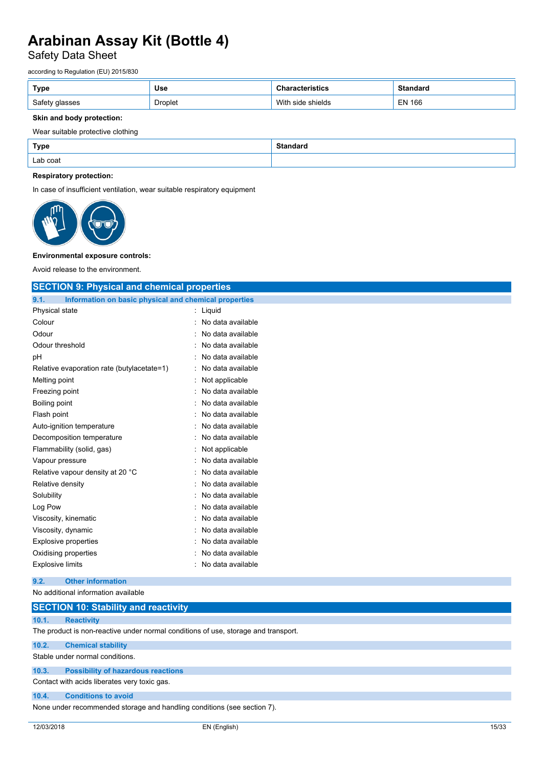## Safety Data Sheet

according to Regulation (EU) 2015/830

| Type           | <b>Use</b>     | ristics              | <b>Standard</b> |
|----------------|----------------|----------------------|-----------------|
| Safety glasses | <b>Droplet</b> | With<br>side shields | <b>EN 166</b>   |

### **Skin and body protection:**

### Wear suitable protective clothing

| Type     | <b>Standard</b> |
|----------|-----------------|
| Lab coat |                 |

### **Respiratory protection:**

In case of insufficient ventilation, wear suitable respiratory equipment



#### **Environmental exposure controls:**

Avoid release to the environment.

| <b>SECTION 9: Physical and chemical properties</b>            |                     |  |  |  |  |
|---------------------------------------------------------------|---------------------|--|--|--|--|
| 9.1.<br>Information on basic physical and chemical properties |                     |  |  |  |  |
| Physical state                                                | : Liquid            |  |  |  |  |
| Colour                                                        | : No data available |  |  |  |  |
| Odour                                                         | No data available   |  |  |  |  |
| Odour threshold                                               | : No data available |  |  |  |  |
| рH                                                            | : No data available |  |  |  |  |
| Relative evaporation rate (butylacetate=1)                    | : No data available |  |  |  |  |
| Melting point                                                 | : Not applicable    |  |  |  |  |
| Freezing point                                                | : No data available |  |  |  |  |
| <b>Boiling point</b>                                          | : No data available |  |  |  |  |
| Flash point                                                   | : No data available |  |  |  |  |
| Auto-ignition temperature                                     | : No data available |  |  |  |  |
| Decomposition temperature                                     | : No data available |  |  |  |  |
| Flammability (solid, gas)                                     | : Not applicable    |  |  |  |  |
| Vapour pressure                                               | : No data available |  |  |  |  |
| Relative vapour density at 20 °C                              | : No data available |  |  |  |  |
| Relative density                                              | : No data available |  |  |  |  |
| Solubility                                                    | : No data available |  |  |  |  |
| Log Pow                                                       | : No data available |  |  |  |  |
| Viscosity, kinematic                                          | : No data available |  |  |  |  |
| Viscosity, dynamic                                            | : No data available |  |  |  |  |
| <b>Explosive properties</b>                                   | : No data available |  |  |  |  |
| Oxidising properties                                          | : No data available |  |  |  |  |
| <b>Explosive limits</b>                                       | : No data available |  |  |  |  |
| <b>Other information</b><br>9.2.                              |                     |  |  |  |  |
| No additional information available                           |                     |  |  |  |  |

## **SECTION 10: Stability and reactivity**

### **10.1. Reactivity**

The product is non-reactive under normal conditions of use, storage and transport.

### **10.2. Chemical stability**

Stable under normal conditions.

## **10.3. Possibility of hazardous reactions**

Contact with acids liberates very toxic gas.

### **10.4. Conditions to avoid**

None under recommended storage and handling conditions (see section 7).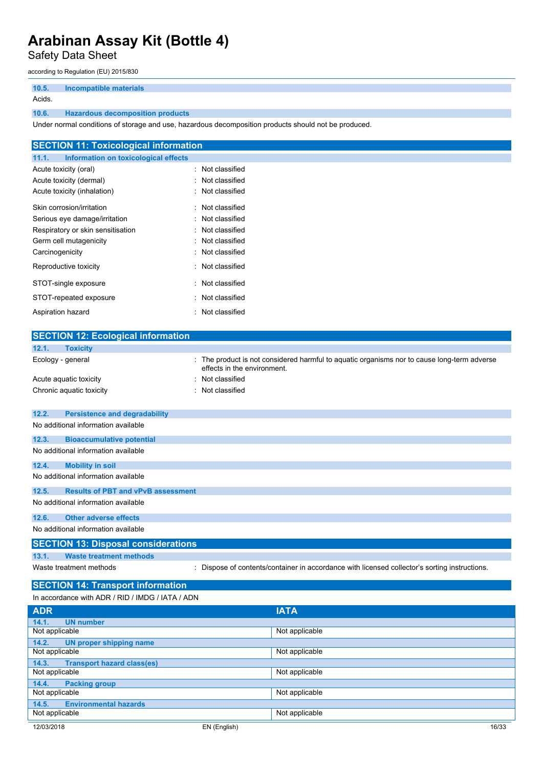Safety Data Sheet

according to Regulation (EU) 2015/830

**10.5. Incompatible materials** Acids.

## **10.6. Hazardous decomposition products**

Under normal conditions of storage and use, hazardous decomposition products should not be produced.

| <b>SECTION 11: Toxicological information</b>  |                  |  |  |
|-----------------------------------------------|------------------|--|--|
| 11.1.<br>Information on toxicological effects |                  |  |  |
| Acute toxicity (oral)                         | : Not classified |  |  |
| Acute toxicity (dermal)                       | : Not classified |  |  |
| Acute toxicity (inhalation)                   | : Not classified |  |  |
| Skin corrosion/irritation                     | : Not classified |  |  |
| Serious eye damage/irritation                 | : Not classified |  |  |
| Respiratory or skin sensitisation             | : Not classified |  |  |
| Germ cell mutagenicity                        | : Not classified |  |  |
| Carcinogenicity                               | : Not classified |  |  |
| Reproductive toxicity                         | : Not classified |  |  |
| STOT-single exposure                          | : Not classified |  |  |
| STOT-repeated exposure                        | : Not classified |  |  |
| Aspiration hazard                             | : Not classified |  |  |

| <b>SECTION 12: Ecological information</b>          |                                                                                                                          |  |  |  |
|----------------------------------------------------|--------------------------------------------------------------------------------------------------------------------------|--|--|--|
| 12.1.<br><b>Toxicity</b>                           |                                                                                                                          |  |  |  |
| Ecology - general                                  | The product is not considered harmful to aquatic organisms nor to cause long-term adverse<br>effects in the environment. |  |  |  |
| Acute aquatic toxicity                             | Not classified                                                                                                           |  |  |  |
| Chronic aquatic toxicity                           | : Not classified                                                                                                         |  |  |  |
|                                                    |                                                                                                                          |  |  |  |
| 12.2.<br><b>Persistence and degradability</b>      |                                                                                                                          |  |  |  |
| No additional information available                |                                                                                                                          |  |  |  |
| 12.3.<br><b>Bioaccumulative potential</b>          |                                                                                                                          |  |  |  |
| No additional information available                |                                                                                                                          |  |  |  |
| 12.4.<br><b>Mobility in soil</b>                   |                                                                                                                          |  |  |  |
| No additional information available                |                                                                                                                          |  |  |  |
| <b>Results of PBT and vPvB assessment</b><br>12.5. |                                                                                                                          |  |  |  |
| No additional information available                |                                                                                                                          |  |  |  |
|                                                    |                                                                                                                          |  |  |  |
| <b>Other adverse effects</b><br>12.6.              |                                                                                                                          |  |  |  |
| No additional information available                |                                                                                                                          |  |  |  |
| <b>SECTION 13: Disposal considerations</b>         |                                                                                                                          |  |  |  |
| <b>Waste treatment methods</b><br>13.1.            |                                                                                                                          |  |  |  |
| Waste treatment methods                            | Dispose of contents/container in accordance with licensed collector's sorting instructions.                              |  |  |  |
| <b>SECTION 14: Transport information</b>           |                                                                                                                          |  |  |  |
|                                                    |                                                                                                                          |  |  |  |
| In accordance with ADR / RID / IMDG / IATA / ADN   |                                                                                                                          |  |  |  |
| <b>ADR</b>                                         | <b>IATA</b>                                                                                                              |  |  |  |

| <b>ADR</b>                                 | <b>IATA</b>    |       |
|--------------------------------------------|----------------|-------|
| <b>UN number</b><br>14.1.                  |                |       |
| Not applicable                             | Not applicable |       |
| 14.2.<br><b>UN proper shipping name</b>    |                |       |
| Not applicable                             | Not applicable |       |
| <b>Transport hazard class(es)</b><br>14.3. |                |       |
| Not applicable                             | Not applicable |       |
| <b>Packing group</b><br>14.4.              |                |       |
| Not applicable                             | Not applicable |       |
| <b>Environmental hazards</b><br>14.5.      |                |       |
| Not applicable                             | Not applicable |       |
| 12/03/2018                                 | EN (English)   | 16/33 |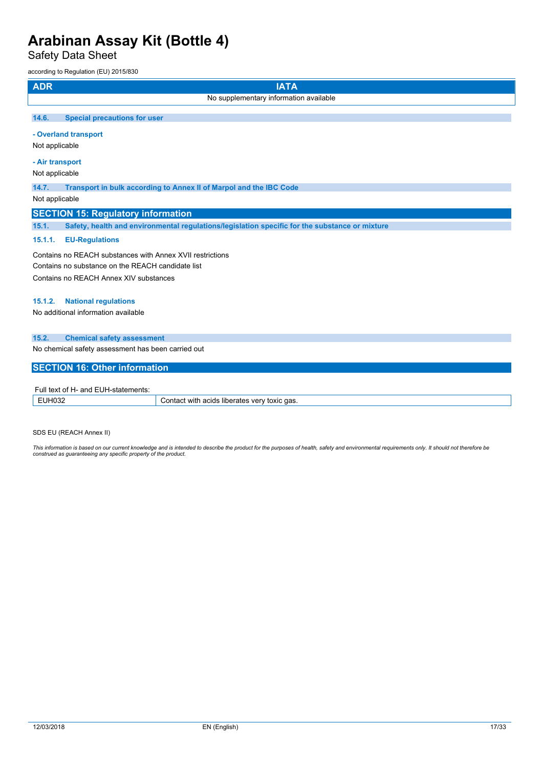Safety Data Sheet

| <b>ADR</b>                             | <b>IATA</b>                                                                                    |  |  |  |  |
|----------------------------------------|------------------------------------------------------------------------------------------------|--|--|--|--|
|                                        | No supplementary information available                                                         |  |  |  |  |
| 14.6.                                  | <b>Special precautions for user</b>                                                            |  |  |  |  |
|                                        | - Overland transport                                                                           |  |  |  |  |
| Not applicable                         |                                                                                                |  |  |  |  |
| - Air transport                        |                                                                                                |  |  |  |  |
| Not applicable                         |                                                                                                |  |  |  |  |
| 14.7.                                  | Transport in bulk according to Annex II of Marpol and the IBC Code                             |  |  |  |  |
| Not applicable                         |                                                                                                |  |  |  |  |
|                                        | <b>SECTION 15: Regulatory information</b>                                                      |  |  |  |  |
| 15.1.                                  | Safety, health and environmental regulations/legislation specific for the substance or mixture |  |  |  |  |
| 15.1.1.                                | <b>EU-Regulations</b>                                                                          |  |  |  |  |
|                                        | Contains no REACH substances with Annex XVII restrictions                                      |  |  |  |  |
|                                        | Contains no substance on the REACH candidate list                                              |  |  |  |  |
| Contains no REACH Annex XIV substances |                                                                                                |  |  |  |  |
| 15.1.2.                                | <b>National regulations</b>                                                                    |  |  |  |  |
|                                        | No additional information available                                                            |  |  |  |  |
| 15.2.                                  | <b>Chemical safety assessment</b>                                                              |  |  |  |  |
|                                        | No chemical safety assessment has been carried out                                             |  |  |  |  |
|                                        | <b>SECTION 16: Other information</b>                                                           |  |  |  |  |
|                                        | Full text of H- and EUH-statements:                                                            |  |  |  |  |

| .<br>tements<br>$\sim$<br>ыа<br>- ULL-<br>ᇊ |                                                             |  |  |
|---------------------------------------------|-------------------------------------------------------------|--|--|
| _____                                       | qas.<br>with<br>acids<br>ver<br>toxic<br>liberates<br>ำๆาน… |  |  |

SDS EU (REACH Annex II)

This information is based on our current knowledge and is intended to describe the product for the purposes of health, safety and environmental requirements only. It should not therefore be<br>construed as guaranteeing any sp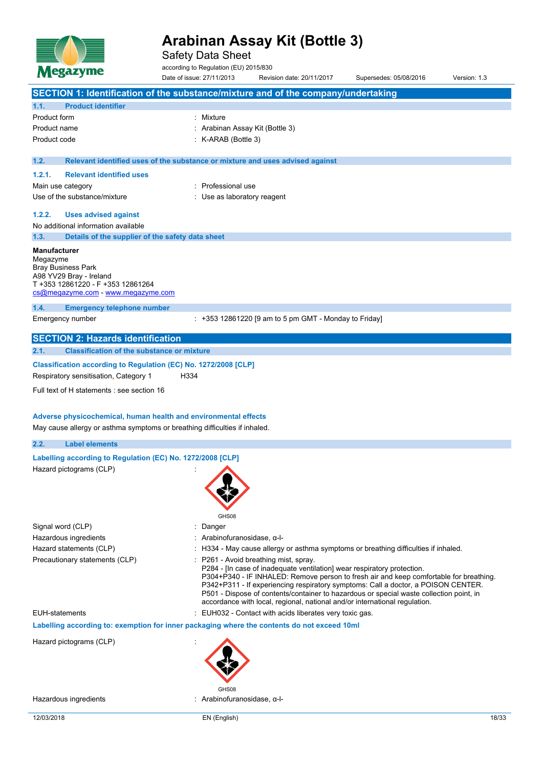

Safety Data Sheet

according to Regulation (EU) 2015/830

|                                 |                                                                                                                                 | Date of issue: 27/11/2013                                                     | Revision date: 20/11/2017                                                                                        | Supersedes: 05/08/2016                                                                                                                                                                                                                                                                                                                               | Version: 1.3 |
|---------------------------------|---------------------------------------------------------------------------------------------------------------------------------|-------------------------------------------------------------------------------|------------------------------------------------------------------------------------------------------------------|------------------------------------------------------------------------------------------------------------------------------------------------------------------------------------------------------------------------------------------------------------------------------------------------------------------------------------------------------|--------------|
|                                 | SECTION 1: Identification of the substance/mixture and of the company/undertaking                                               |                                                                               |                                                                                                                  |                                                                                                                                                                                                                                                                                                                                                      |              |
| 1.1.                            | <b>Product identifier</b>                                                                                                       |                                                                               |                                                                                                                  |                                                                                                                                                                                                                                                                                                                                                      |              |
| Product form                    |                                                                                                                                 | : Mixture                                                                     |                                                                                                                  |                                                                                                                                                                                                                                                                                                                                                      |              |
| Product name                    |                                                                                                                                 | Arabinan Assay Kit (Bottle 3)                                                 |                                                                                                                  |                                                                                                                                                                                                                                                                                                                                                      |              |
| Product code                    |                                                                                                                                 | K-ARAB (Bottle 3)                                                             |                                                                                                                  |                                                                                                                                                                                                                                                                                                                                                      |              |
| 1.2.                            |                                                                                                                                 | Relevant identified uses of the substance or mixture and uses advised against |                                                                                                                  |                                                                                                                                                                                                                                                                                                                                                      |              |
| 1.2.1.                          | <b>Relevant identified uses</b>                                                                                                 |                                                                               |                                                                                                                  |                                                                                                                                                                                                                                                                                                                                                      |              |
| Main use category               |                                                                                                                                 | : Professional use                                                            |                                                                                                                  |                                                                                                                                                                                                                                                                                                                                                      |              |
|                                 | Use of the substance/mixture                                                                                                    | Use as laboratory reagent                                                     |                                                                                                                  |                                                                                                                                                                                                                                                                                                                                                      |              |
| 1.2.2.                          | <b>Uses advised against</b>                                                                                                     |                                                                               |                                                                                                                  |                                                                                                                                                                                                                                                                                                                                                      |              |
|                                 | No additional information available                                                                                             |                                                                               |                                                                                                                  |                                                                                                                                                                                                                                                                                                                                                      |              |
| 1.3.                            | Details of the supplier of the safety data sheet                                                                                |                                                                               |                                                                                                                  |                                                                                                                                                                                                                                                                                                                                                      |              |
| <b>Manufacturer</b><br>Megazyme | <b>Bray Business Park</b><br>A98 YV29 Bray - Ireland<br>T +353 12861220 - F +353 12861264<br>cs@megazyme.com - www.megazyme.com |                                                                               |                                                                                                                  |                                                                                                                                                                                                                                                                                                                                                      |              |
| 1.4.                            | <b>Emergency telephone number</b>                                                                                               |                                                                               |                                                                                                                  |                                                                                                                                                                                                                                                                                                                                                      |              |
|                                 | Emergency number                                                                                                                |                                                                               | $: +353$ 12861220 [9 am to 5 pm GMT - Monday to Friday]                                                          |                                                                                                                                                                                                                                                                                                                                                      |              |
|                                 | <b>SECTION 2: Hazards identification</b>                                                                                        |                                                                               |                                                                                                                  |                                                                                                                                                                                                                                                                                                                                                      |              |
| 2.1.                            | <b>Classification of the substance or mixture</b>                                                                               |                                                                               |                                                                                                                  |                                                                                                                                                                                                                                                                                                                                                      |              |
|                                 | Classification according to Regulation (EC) No. 1272/2008 [CLP]                                                                 |                                                                               |                                                                                                                  |                                                                                                                                                                                                                                                                                                                                                      |              |
|                                 | Respiratory sensitisation, Category 1                                                                                           | H334                                                                          |                                                                                                                  |                                                                                                                                                                                                                                                                                                                                                      |              |
|                                 | Full text of H statements : see section 16                                                                                      |                                                                               |                                                                                                                  |                                                                                                                                                                                                                                                                                                                                                      |              |
|                                 |                                                                                                                                 |                                                                               |                                                                                                                  |                                                                                                                                                                                                                                                                                                                                                      |              |
|                                 | Adverse physicochemical, human health and environmental effects                                                                 |                                                                               |                                                                                                                  |                                                                                                                                                                                                                                                                                                                                                      |              |
|                                 | May cause allergy or asthma symptoms or breathing difficulties if inhaled.                                                      |                                                                               |                                                                                                                  |                                                                                                                                                                                                                                                                                                                                                      |              |
| 2.2.                            | <b>Label elements</b>                                                                                                           |                                                                               |                                                                                                                  |                                                                                                                                                                                                                                                                                                                                                      |              |
|                                 | Labelling according to Regulation (EC) No. 1272/2008 [CLP]                                                                      |                                                                               |                                                                                                                  |                                                                                                                                                                                                                                                                                                                                                      |              |
|                                 | Hazard pictograms (CLP)                                                                                                         | GHS08                                                                         |                                                                                                                  |                                                                                                                                                                                                                                                                                                                                                      |              |
| Signal word (CLP)               |                                                                                                                                 | Danger                                                                        |                                                                                                                  |                                                                                                                                                                                                                                                                                                                                                      |              |
|                                 | Hazardous ingredients                                                                                                           | Arabinofuranosidase, α-l-                                                     |                                                                                                                  |                                                                                                                                                                                                                                                                                                                                                      |              |
|                                 | Hazard statements (CLP)                                                                                                         |                                                                               |                                                                                                                  | : H334 - May cause allergy or asthma symptoms or breathing difficulties if inhaled.                                                                                                                                                                                                                                                                  |              |
|                                 | Precautionary statements (CLP)                                                                                                  |                                                                               | : P261 - Avoid breathing mist, spray.<br>P284 - [In case of inadequate ventilation] wear respiratory protection. | P304+P340 - IF INHALED: Remove person to fresh air and keep comfortable for breathing.<br>P342+P311 - If experiencing respiratory symptoms: Call a doctor, a POISON CENTER.<br>P501 - Dispose of contents/container to hazardous or special waste collection point, in<br>accordance with local, regional, national and/or international regulation. |              |
| <b>EUH-statements</b>           |                                                                                                                                 |                                                                               | : EUH032 - Contact with acids liberates very toxic gas.                                                          |                                                                                                                                                                                                                                                                                                                                                      |              |
|                                 | Labelling according to: exemption for inner packaging where the contents do not exceed 10ml                                     |                                                                               |                                                                                                                  |                                                                                                                                                                                                                                                                                                                                                      |              |
|                                 |                                                                                                                                 |                                                                               |                                                                                                                  |                                                                                                                                                                                                                                                                                                                                                      |              |
|                                 | Hazard pictograms (CLP)                                                                                                         |                                                                               |                                                                                                                  |                                                                                                                                                                                                                                                                                                                                                      |              |
|                                 | Hazardous ingredients                                                                                                           | : Arabinofuranosidase, α-l-                                                   |                                                                                                                  |                                                                                                                                                                                                                                                                                                                                                      |              |
|                                 |                                                                                                                                 |                                                                               |                                                                                                                  |                                                                                                                                                                                                                                                                                                                                                      |              |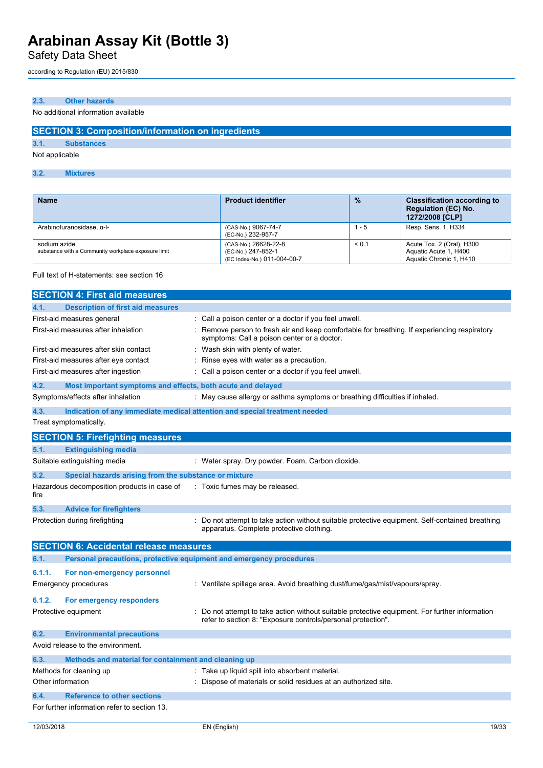Safety Data Sheet

according to Regulation (EU) 2015/830

## **2.3. Other hazards**

No additional information available

## **SECTION 3: Composition/information on ingredients**

**3.1. Substances**

Not applicable

## **3.2. Mixtures**

| <b>Name</b>                                                         | <b>Product identifier</b>                                                 | $\frac{9}{6}$ | <b>Classification according to</b><br><b>Regulation (EC) No.</b><br>1272/2008 [CLP] |
|---------------------------------------------------------------------|---------------------------------------------------------------------------|---------------|-------------------------------------------------------------------------------------|
| Arabinofuranosidase, α-I-                                           | (CAS-No.) 9067-74-7<br>(EC-No.) 232-957-7                                 | 1 - 5         | Resp. Sens. 1, H334                                                                 |
| sodium azide<br>substance with a Community workplace exposure limit | (CAS-No.) 26628-22-8<br>(EC-No.) 247-852-1<br>(EC Index-No.) 011-004-00-7 | < 0.1         | Acute Tox. 2 (Oral), H300<br>Aquatic Acute 1, H400<br>Aquatic Chronic 1, H410       |

## Full text of H-statements: see section 16

|                   | <b>SECTION 4: First aid measures</b>                                |                                                                                                                                                              |
|-------------------|---------------------------------------------------------------------|--------------------------------------------------------------------------------------------------------------------------------------------------------------|
| 4.1.              | <b>Description of first aid measures</b>                            |                                                                                                                                                              |
|                   | First-aid measures general                                          | Call a poison center or a doctor if you feel unwell.                                                                                                         |
|                   | First-aid measures after inhalation                                 | Remove person to fresh air and keep comfortable for breathing. If experiencing respiratory<br>symptoms: Call a poison center or a doctor.                    |
|                   | First-aid measures after skin contact                               | : Wash skin with plenty of water.                                                                                                                            |
|                   | First-aid measures after eye contact                                | Rinse eyes with water as a precaution.                                                                                                                       |
|                   | First-aid measures after ingestion                                  | Call a poison center or a doctor if you feel unwell.                                                                                                         |
| 4.2.              | Most important symptoms and effects, both acute and delayed         |                                                                                                                                                              |
|                   | Symptoms/effects after inhalation                                   | : May cause allergy or asthma symptoms or breathing difficulties if inhaled.                                                                                 |
| 4.3.              |                                                                     | Indication of any immediate medical attention and special treatment needed                                                                                   |
|                   | Treat symptomatically.                                              |                                                                                                                                                              |
|                   | <b>SECTION 5: Firefighting measures</b>                             |                                                                                                                                                              |
| 5.1.              | <b>Extinguishing media</b>                                          |                                                                                                                                                              |
|                   | Suitable extinguishing media                                        | : Water spray. Dry powder. Foam. Carbon dioxide.                                                                                                             |
| 5.2.              | Special hazards arising from the substance or mixture               |                                                                                                                                                              |
| fire              | Hazardous decomposition products in case of                         | : Toxic fumes may be released.                                                                                                                               |
| 5.3.              | <b>Advice for firefighters</b>                                      |                                                                                                                                                              |
|                   | Protection during firefighting                                      | Do not attempt to take action without suitable protective equipment. Self-contained breathing<br>apparatus. Complete protective clothing.                    |
|                   | <b>SECTION 6: Accidental release measures</b>                       |                                                                                                                                                              |
| 6.1.              | Personal precautions, protective equipment and emergency procedures |                                                                                                                                                              |
| 6.1.1.            | For non-emergency personnel                                         |                                                                                                                                                              |
|                   | <b>Emergency procedures</b>                                         | : Ventilate spillage area. Avoid breathing dust/fume/gas/mist/vapours/spray.                                                                                 |
| 6.1.2.            | For emergency responders                                            |                                                                                                                                                              |
|                   | Protective equipment                                                | Do not attempt to take action without suitable protective equipment. For further information<br>refer to section 8: "Exposure controls/personal protection". |
| 6.2.              | <b>Environmental precautions</b>                                    |                                                                                                                                                              |
|                   | Avoid release to the environment.                                   |                                                                                                                                                              |
| 6.3.              | Methods and material for containment and cleaning up                |                                                                                                                                                              |
|                   | Methods for cleaning up                                             | : Take up liquid spill into absorbent material.                                                                                                              |
| Other information |                                                                     | Dispose of materials or solid residues at an authorized site.                                                                                                |
| 6.4.              | <b>Reference to other sections</b>                                  |                                                                                                                                                              |
|                   | For further information refer to section 13.                        |                                                                                                                                                              |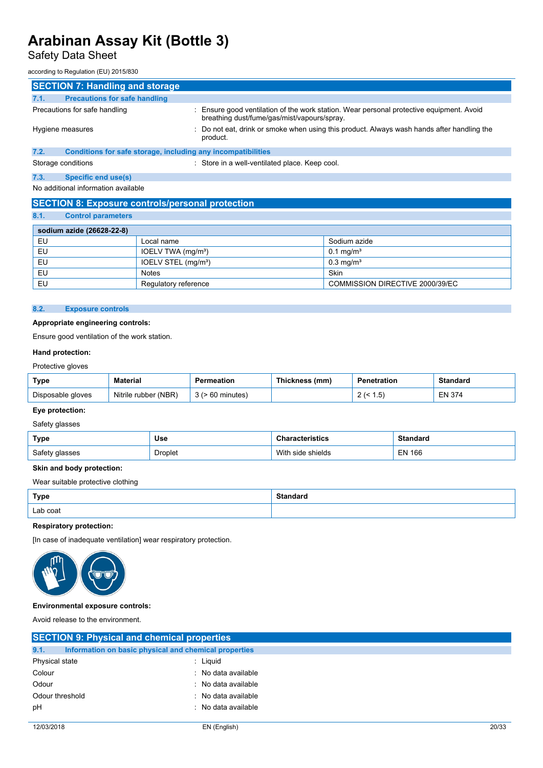# Safety Data Sheet

according to Regulation (EU) 2015/830

| <b>SECTION 7: Handling and storage</b>                                                                                                                                   |                                                                                                        |  |  |
|--------------------------------------------------------------------------------------------------------------------------------------------------------------------------|--------------------------------------------------------------------------------------------------------|--|--|
| <b>Precautions for safe handling</b><br>7.1.                                                                                                                             |                                                                                                        |  |  |
| Precautions for safe handling<br>: Ensure good ventilation of the work station. Wear personal protective equipment. Avoid<br>breathing dust/fume/gas/mist/vapours/spray. |                                                                                                        |  |  |
| Hygiene measures                                                                                                                                                         | : Do not eat, drink or smoke when using this product. Always wash hands after handling the<br>product. |  |  |
| 7.2.<br>Conditions for safe storage, including any incompatibilities                                                                                                     |                                                                                                        |  |  |
| Storage conditions                                                                                                                                                       | : Store in a well-ventilated place. Keep cool.                                                         |  |  |
| 7.3.<br><b>Specific end use(s)</b>                                                                                                                                       |                                                                                                        |  |  |
| No additional information available                                                                                                                                      |                                                                                                        |  |  |

## **SECTION 8: Exposure controls/personal protection**

**8.1. Control parameters**

| <b>Control parameters</b>       |                                 |
|---------------------------------|---------------------------------|
|                                 |                                 |
|                                 |                                 |
| Local name                      | Sodium azide                    |
| IOELV TWA (mg/m <sup>3</sup> )  | $0.1 \,\mathrm{mq/m^3}$         |
| IOELV STEL (mg/m <sup>3</sup> ) | $0.3$ mg/m <sup>3</sup>         |
| <b>Notes</b>                    | Skin                            |
| Regulatory reference            | COMMISSION DIRECTIVE 2000/39/EC |
|                                 | sodium azide (26628-22-8)       |

## **8.2. Exposure controls**

### **Appropriate engineering controls:**

Ensure good ventilation of the work station.

#### **Hand protection:**

## Protective gloves

| Type              | <b>Material</b>         | Permeation | Thickness (mm) | Penetration                         | Standard      |
|-------------------|-------------------------|------------|----------------|-------------------------------------|---------------|
| Disposable gloves | (NBR)<br>Nitrile rubber | nınutes    |                | <b><u>5</u></b><br>, ن.<br><u>_</u> | <b>EN 374</b> |

## **Eye protection:**

## Safety glasses

| Type           | <b>Use</b> | acteristics     | Standard      |
|----------------|------------|-----------------|---------------|
| Safety glasses | Droplet    | shields<br>side | <b>EN 166</b> |

### **Skin and body protection:**

Wear suitable protective clothing

| <b>Type</b> | Standaro |
|-------------|----------|
| Lab coat    |          |

## **Respiratory protection:**

[In case of inadequate ventilation] wear respiratory protection.



### **Environmental exposure controls:**

Avoid release to the environment.

|                 | <b>SECTION 9: Physical and chemical properties</b> |                                                       |  |  |
|-----------------|----------------------------------------------------|-------------------------------------------------------|--|--|
| 9.1.            |                                                    | Information on basic physical and chemical properties |  |  |
| Physical state  |                                                    | : Liguid                                              |  |  |
| Colour          |                                                    | : No data available                                   |  |  |
| Odour           |                                                    | No data available                                     |  |  |
| Odour threshold |                                                    | : No data available                                   |  |  |
| pH              |                                                    | : No data available                                   |  |  |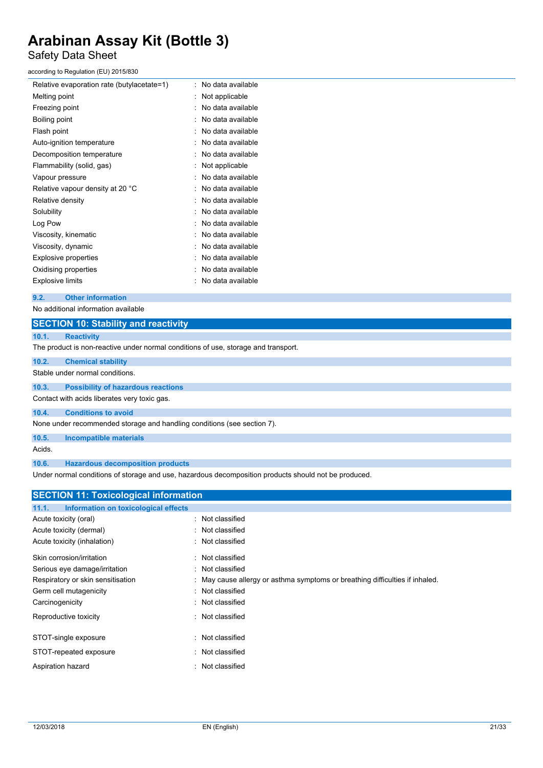## Safety Data Sheet

according to Regulation (EU) 2015/830

| Relative evaporation rate (butylacetate=1) | No data available |
|--------------------------------------------|-------------------|
| Melting point                              | Not applicable    |
| Freezing point                             | No data available |
| Boiling point                              | No data available |
| Flash point                                | No data available |
| Auto-ignition temperature                  | No data available |
| Decomposition temperature                  | No data available |
| Flammability (solid, gas)                  | Not applicable    |
| Vapour pressure                            | No data available |
| Relative vapour density at 20 °C           | No data available |
| Relative density                           | No data available |
| Solubility                                 | No data available |
| Log Pow                                    | No data available |
| Viscosity, kinematic                       | No data available |
| Viscosity, dynamic                         | No data available |
| <b>Explosive properties</b>                | No data available |
| Oxidising properties                       | No data available |
| Explosive limits                           | No data available |

### **9.2. Other information**

No additional information available

| <b>SECTION 10: Stability and reactivity</b>                                                                              |
|--------------------------------------------------------------------------------------------------------------------------|
| 10.1.<br><b>Reactivity</b>                                                                                               |
| The product is non-reactive under normal conditions of use, storage and transport.                                       |
| 10.2.<br><b>Chemical stability</b>                                                                                       |
| Stable under normal conditions.                                                                                          |
| <b>Possibility of hazardous reactions</b><br>10.3.                                                                       |
| Contact with acids liberates very toxic gas.                                                                             |
| <b>Conditions to avoid</b><br>10.4.                                                                                      |
| None under recommended storage and handling conditions (see section 7).                                                  |
| 10.5.<br><b>Incompatible materials</b>                                                                                   |
| Acids.                                                                                                                   |
| 10.6.<br><b>Hazardous decomposition products</b>                                                                         |
| الرجمينات مسترجعا فجمرا الربوطو الطوير الرجوم والفارق والمستحدث والمستحدث والمستحدث والمستحدث المتحدث والمستحدث والمسارا |

Under normal conditions of storage and use, hazardous decomposition products should not be produced.

| <b>SECTION 11: Toxicological information</b>  |                                                                              |
|-----------------------------------------------|------------------------------------------------------------------------------|
| Information on toxicological effects<br>11.1. |                                                                              |
| Acute toxicity (oral)                         | : Not classified                                                             |
| Acute toxicity (dermal)                       | : Not classified                                                             |
| Acute toxicity (inhalation)                   | : Not classified                                                             |
| Skin corrosion/irritation                     | : Not classified                                                             |
| Serious eye damage/irritation                 | : Not classified                                                             |
| Respiratory or skin sensitisation             | : May cause allergy or asthma symptoms or breathing difficulties if inhaled. |
| Germ cell mutagenicity                        | : Not classified                                                             |
| Carcinogenicity                               | : Not classified                                                             |
| Reproductive toxicity                         | : Not classified                                                             |
| STOT-single exposure                          | : Not classified                                                             |
| STOT-repeated exposure                        | Not classified                                                               |
| Aspiration hazard                             | : Not classified                                                             |
|                                               |                                                                              |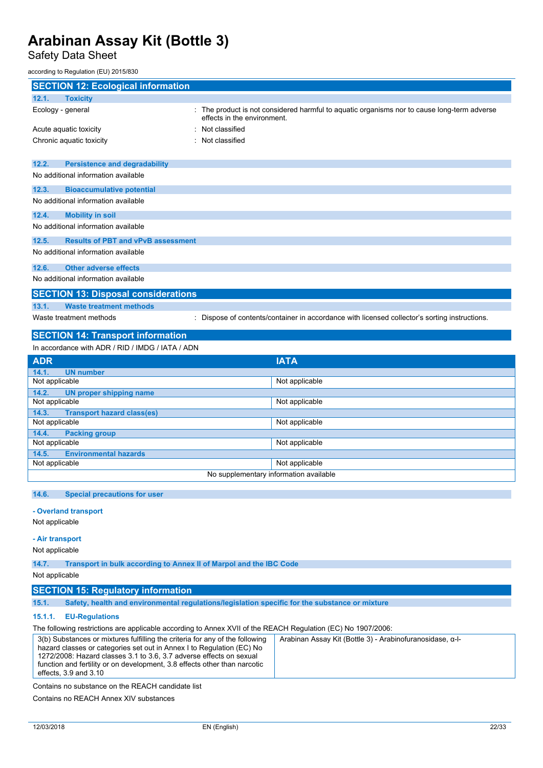Safety Data Sheet

according to Regulation (EU) 2015/830

| <b>SECTION 12: Ecological information</b>                                                                              |                                                                                                                            |  |  |
|------------------------------------------------------------------------------------------------------------------------|----------------------------------------------------------------------------------------------------------------------------|--|--|
| 12.1.<br><b>Toxicity</b>                                                                                               |                                                                                                                            |  |  |
| Ecology - general                                                                                                      | : The product is not considered harmful to aquatic organisms nor to cause long-term adverse<br>effects in the environment. |  |  |
| Acute aquatic toxicity                                                                                                 | Not classified                                                                                                             |  |  |
| Chronic aquatic toxicity                                                                                               | : Not classified                                                                                                           |  |  |
|                                                                                                                        |                                                                                                                            |  |  |
| 12.2.<br><b>Persistence and degradability</b>                                                                          |                                                                                                                            |  |  |
| No additional information available                                                                                    |                                                                                                                            |  |  |
|                                                                                                                        |                                                                                                                            |  |  |
| 12.3.<br><b>Bioaccumulative potential</b>                                                                              |                                                                                                                            |  |  |
| No additional information available                                                                                    |                                                                                                                            |  |  |
| 12.4.<br><b>Mobility in soil</b>                                                                                       |                                                                                                                            |  |  |
| No additional information available                                                                                    |                                                                                                                            |  |  |
| <b>Results of PBT and vPvB assessment</b><br>12.5.                                                                     |                                                                                                                            |  |  |
| No additional information available                                                                                    |                                                                                                                            |  |  |
| 12.6.<br><b>Other adverse effects</b>                                                                                  |                                                                                                                            |  |  |
| No additional information available                                                                                    |                                                                                                                            |  |  |
| <b>SECTION 13: Disposal considerations</b>                                                                             |                                                                                                                            |  |  |
| 13.1.<br><b>Waste treatment methods</b>                                                                                |                                                                                                                            |  |  |
| Waste treatment methods<br>Dispose of contents/container in accordance with licensed collector's sorting instructions. |                                                                                                                            |  |  |
|                                                                                                                        |                                                                                                                            |  |  |
| <b>SECTION 14: Transport information</b>                                                                               |                                                                                                                            |  |  |
| In accordance with ADR / RID / IMDG / IATA / ADN                                                                       |                                                                                                                            |  |  |
|                                                                                                                        |                                                                                                                            |  |  |
| <b>ADR</b>                                                                                                             | <b>IATA</b>                                                                                                                |  |  |
| 14.1.<br><b>UN number</b>                                                                                              | Not applicable                                                                                                             |  |  |
| Not applicable                                                                                                         |                                                                                                                            |  |  |
| 14.2.<br>UN proper shipping name<br>Not applicable                                                                     | Not applicable                                                                                                             |  |  |
| 14.3.                                                                                                                  |                                                                                                                            |  |  |
| <b>Transport hazard class(es)</b><br>Not applicable                                                                    | Not applicable                                                                                                             |  |  |
| 14.4.<br><b>Packing group</b>                                                                                          |                                                                                                                            |  |  |
| Not applicable                                                                                                         | Not applicable                                                                                                             |  |  |
| 14.5.<br><b>Environmental hazards</b>                                                                                  |                                                                                                                            |  |  |
| Not applicable                                                                                                         | Not applicable                                                                                                             |  |  |
|                                                                                                                        | No supplementary information available                                                                                     |  |  |
|                                                                                                                        |                                                                                                                            |  |  |
| <b>Special precautions for user</b><br>14.6.                                                                           |                                                                                                                            |  |  |
| - Overland transport                                                                                                   |                                                                                                                            |  |  |
| Not applicable                                                                                                         |                                                                                                                            |  |  |

Not applicable

**14.7. Transport in bulk according to Annex II of Marpol and the IBC Code**

Not applicable

- **SECTION 15: Regulatory information**
- **15.1. Safety, health and environmental regulations/legislation specific for the substance or mixture**

## **15.1.1. EU-Regulations**

The following restrictions are applicable according to Annex XVII of the REACH Regulation (EC) No 1907/2006:

| 3(b) Substances or mixtures fulfilling the criteria for any of the following | Arabinan Assay Kit (Bottle 3) - Arabinofuranosidase, α-l- |
|------------------------------------------------------------------------------|-----------------------------------------------------------|
| hazard classes or categories set out in Annex I to Regulation (EC) No        |                                                           |
| 1272/2008: Hazard classes 3.1 to 3.6, 3.7 adverse effects on sexual          |                                                           |
| function and fertility or on development, 3.8 effects other than narcotic    |                                                           |
| effects, 3.9 and 3.10                                                        |                                                           |
|                                                                              |                                                           |

Contains no substance on the REACH candidate list

Contains no REACH Annex XIV substances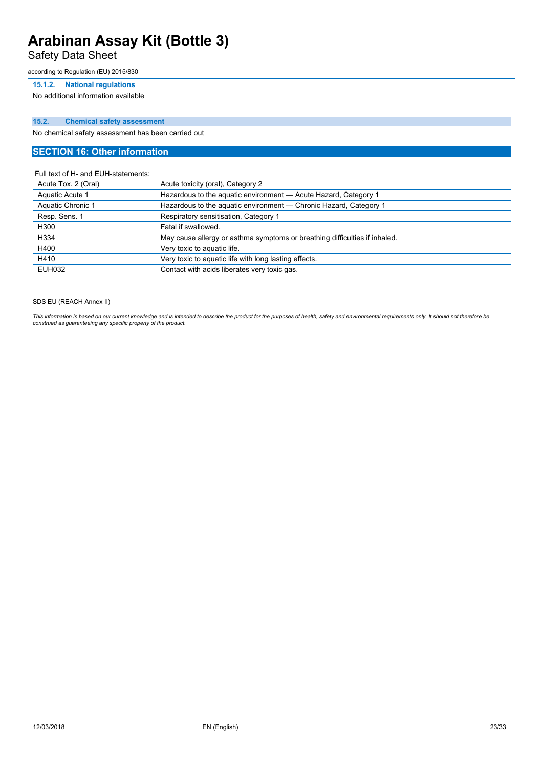Safety Data Sheet

according to Regulation (EU) 2015/830

### **15.1.2. National regulations**

No additional information available

## **15.2. Chemical safety assessment**

No chemical safety assessment has been carried out

## **SECTION 16: Other information**

### Full text of H- and EUH-statements:

| Acute Tox. 2 (Oral) | Acute toxicity (oral), Category 2                                          |
|---------------------|----------------------------------------------------------------------------|
| Aquatic Acute 1     | Hazardous to the aquatic environment - Acute Hazard, Category 1            |
| Aquatic Chronic 1   | Hazardous to the aquatic environment - Chronic Hazard, Category 1          |
| Resp. Sens. 1       | Respiratory sensitisation, Category 1                                      |
| H300                | Fatal if swallowed.                                                        |
| H334                | May cause allergy or asthma symptoms or breathing difficulties if inhaled. |
| H400                | Very toxic to aquatic life.                                                |
| H410                | Very toxic to aquatic life with long lasting effects.                      |
| <b>EUH032</b>       | Contact with acids liberates very toxic gas.                               |

SDS EU (REACH Annex II)

This information is based on our current knowledge and is intended to describe the product for the purposes of health, safety and environmental requirements only. It should not therefore be<br>construed as guaranteeing any sp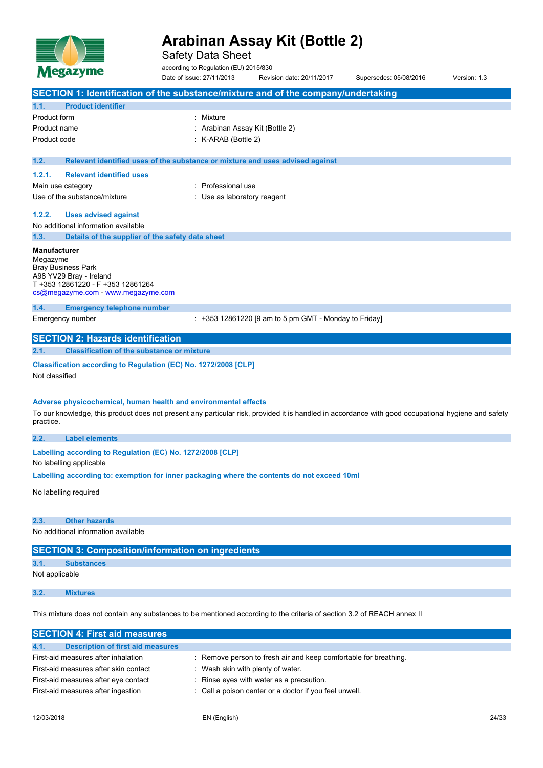

Safety Data Sheet

according to Regulation (EU) 2015/830

Date of issue: 27/11/2013 Revision date: 20/11/2017 Supersedes: 05/08/2016 Version: 1.3 **SECTION 1: Identification of the substance/mixture and of the company/undertaking 1.1. Product identifier** Product form : Nixture Product name : Arabinan Assay Kit (Bottle 2) Product code : K-ARAB (Bottle 2) **1.2. Relevant identified uses of the substance or mixture and uses advised against 1.2.1. Relevant identified uses** Main use category **in the set of the COV** and Main use the Main use Use of the substance/mixture in the substance/mixture in the substance of the substance of the substance of the substance of the substance of the substance of the substance of the substance of the substance of the substanc **1.2.2. Uses advised against** No additional information available **1.3. Details of the supplier of the safety data sheet Manufacturer** Megazyme Bray Business Park A98 YV29 Bray - Ireland T +353 12861220 - F +353 12861264 [cs@megazyme.com](mailto:cs@megazyme.com) - <www.megazyme.com> **1.4. Emergency telephone number** Emergency number : +353 12861220 [9 am to 5 pm GMT - Monday to Friday] **SECTION 2: Hazards identification 2.1. Classification of the substance or mixture Classification according to Regulation (EC) No. 1272/2008 [CLP]** Not classified **Adverse physicochemical, human health and environmental effects** To our knowledge, this product does not present any particular risk, provided it is handled in accordance with good occupational hygiene and safety practice. **2.2. Label elements Labelling according to** Regulation (EC) No. 1272/2008 [CLP] No labelling applicable **Labelling according to: exemption for inner packaging where the contents do not exceed 10ml** No labelling required **2.3. Other hazards** No additional information available **SECTION 3: Composition/information on ingredients 3.1. Substances** Not applicable **3.2. Mixtures**

This mixture does not contain any substances to be mentioned according to the criteria of section 3.2 of REACH annex II

| <b>SECTION 4: First aid measures</b>             |                                                                  |
|--------------------------------------------------|------------------------------------------------------------------|
| 4.1.<br><b>Description of first aid measures</b> |                                                                  |
| First-aid measures after inhalation              | : Remove person to fresh air and keep comfortable for breathing. |
| First-aid measures after skin contact            | Wash skin with plenty of water.                                  |
| First-aid measures after eye contact             | : Rinse eyes with water as a precaution.                         |
| First-aid measures after ingestion               | : Call a poison center or a doctor if you feel unwell.           |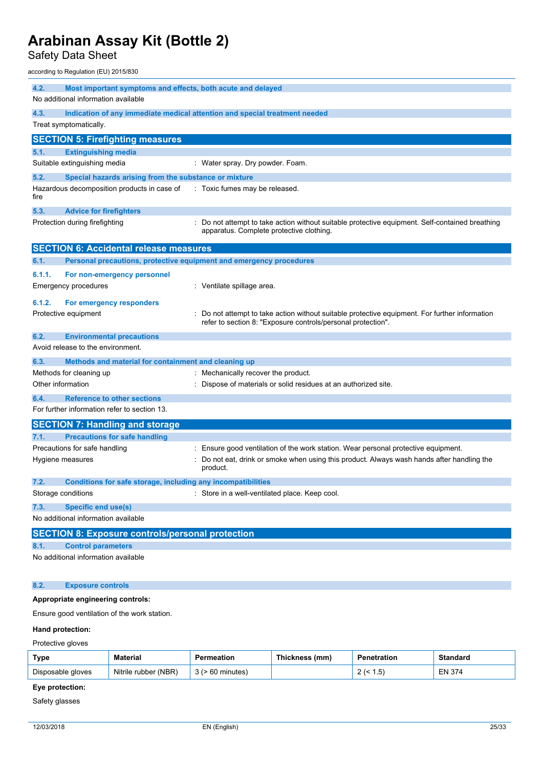Safety Data Sheet

according to Regulation (EU) 2015/830

| 4.2.<br>Most important symptoms and effects, both acute and delayed                                                                                                                  |  |  |  |
|--------------------------------------------------------------------------------------------------------------------------------------------------------------------------------------|--|--|--|
| No additional information available                                                                                                                                                  |  |  |  |
| 4.3.<br>Indication of any immediate medical attention and special treatment needed                                                                                                   |  |  |  |
| Treat symptomatically.                                                                                                                                                               |  |  |  |
| <b>SECTION 5: Firefighting measures</b>                                                                                                                                              |  |  |  |
| 5.1.<br><b>Extinguishing media</b>                                                                                                                                                   |  |  |  |
| Suitable extinguishing media<br>: Water spray. Dry powder. Foam.                                                                                                                     |  |  |  |
| 5.2.<br>Special hazards arising from the substance or mixture                                                                                                                        |  |  |  |
| Hazardous decomposition products in case of<br>: Toxic fumes may be released.<br>fire                                                                                                |  |  |  |
| 5.3.<br><b>Advice for firefighters</b>                                                                                                                                               |  |  |  |
| Do not attempt to take action without suitable protective equipment. Self-contained breathing<br>Protection during firefighting<br>apparatus. Complete protective clothing.          |  |  |  |
| <b>SECTION 6: Accidental release measures</b>                                                                                                                                        |  |  |  |
| Personal precautions, protective equipment and emergency procedures<br>6.1.                                                                                                          |  |  |  |
| 6.1.1.<br>For non-emergency personnel                                                                                                                                                |  |  |  |
| : Ventilate spillage area.<br>Emergency procedures                                                                                                                                   |  |  |  |
| 6.1.2.<br>For emergency responders                                                                                                                                                   |  |  |  |
| Protective equipment<br>Do not attempt to take action without suitable protective equipment. For further information<br>refer to section 8: "Exposure controls/personal protection". |  |  |  |
| 6.2.<br><b>Environmental precautions</b>                                                                                                                                             |  |  |  |
| Avoid release to the environment.                                                                                                                                                    |  |  |  |
| 6.3.<br>Methods and material for containment and cleaning up                                                                                                                         |  |  |  |
| Methods for cleaning up<br>: Mechanically recover the product.                                                                                                                       |  |  |  |
| Other information<br>: Dispose of materials or solid residues at an authorized site.                                                                                                 |  |  |  |
| 6.4.<br><b>Reference to other sections</b>                                                                                                                                           |  |  |  |
| For further information refer to section 13.                                                                                                                                         |  |  |  |
| <b>SECTION 7: Handling and storage</b>                                                                                                                                               |  |  |  |
| <b>Precautions for safe handling</b><br>7.1.                                                                                                                                         |  |  |  |
| Precautions for safe handling<br>Ensure good ventilation of the work station. Wear personal protective equipment.                                                                    |  |  |  |
| Do not eat, drink or smoke when using this product. Always wash hands after handling the<br>Hygiene measures<br>product.                                                             |  |  |  |
| 7.2.<br><b>Conditions for safe storage, including any incompatibilities</b>                                                                                                          |  |  |  |
| Storage conditions<br>: Store in a well-ventilated place. Keep cool.                                                                                                                 |  |  |  |
| <b>Specific end use(s)</b><br>7.3.                                                                                                                                                   |  |  |  |
| No additional information available                                                                                                                                                  |  |  |  |
| <b>SECTION 8: Exposure controls/personal protection</b>                                                                                                                              |  |  |  |
| <b>Control parameters</b><br>8.1.                                                                                                                                                    |  |  |  |
| No additional information available                                                                                                                                                  |  |  |  |
| 8.2.<br><b>Exposure controls</b>                                                                                                                                                     |  |  |  |

## **Appropriate engineering controls:**

Ensure good ventilation of the work station.

## **Hand protection:**

Protective gloves

| <b>Type</b>       | Material               | Permeation | <b>Thickness</b><br>(mm | <b>Penetration</b>      | Standard      |
|-------------------|------------------------|------------|-------------------------|-------------------------|---------------|
| Disposable gloves | (NBR<br>Nitrile rubber | minutes    |                         | h<br>، ت. .<br><u>_</u> | <b>EN 374</b> |

## **Eye protection:**

Safety glasses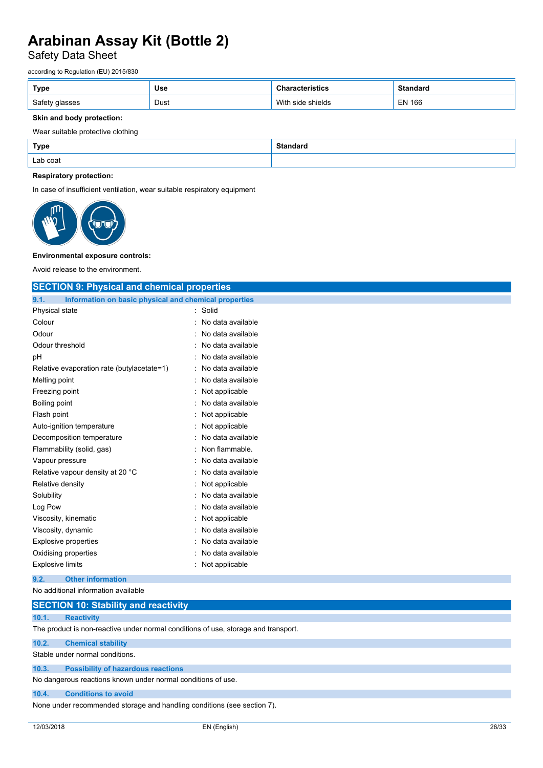## Safety Data Sheet

according to Regulation (EU) 2015/830

| Type                     | <b>Use</b> | stics                   | Standard                       |
|--------------------------|------------|-------------------------|--------------------------------|
| Safety<br>glasses<br>ں ر | Dust       | With<br>shields<br>side | <b>EN 166</b><br>$\sim$ $\sim$ |

## **Skin and body protection:**

## Wear suitable protective clothing

| <b>Type</b> | Standaro |
|-------------|----------|
| Lab coat    |          |

### **Respiratory protection:**

In case of insufficient ventilation, wear suitable respiratory equipment



## **Environmental exposure controls:**

Avoid release to the environment.

| <b>SECTION 9: Physical and chemical properties</b>            |                     |  |
|---------------------------------------------------------------|---------------------|--|
| Information on basic physical and chemical properties<br>9.1. |                     |  |
| Physical state                                                | : Solid             |  |
| Colour                                                        | : No data available |  |
| Odour                                                         | No data available   |  |
| Odour threshold                                               | No data available   |  |
| рH                                                            | No data available   |  |
| Relative evaporation rate (butylacetate=1)                    | No data available   |  |
| Melting point                                                 | No data available   |  |
| Freezing point                                                | Not applicable      |  |
| <b>Boiling point</b>                                          | No data available   |  |
| Flash point                                                   | Not applicable      |  |
| Auto-ignition temperature                                     | Not applicable      |  |
| Decomposition temperature                                     | No data available   |  |
| Flammability (solid, gas)                                     | Non flammable.      |  |
| Vapour pressure                                               | No data available   |  |
| Relative vapour density at 20 °C                              | No data available   |  |
| Relative density                                              | Not applicable      |  |
| Solubility                                                    | No data available   |  |
| Log Pow                                                       | No data available   |  |
| Viscosity, kinematic                                          | Not applicable      |  |
| Viscosity, dynamic                                            | No data available   |  |
| <b>Explosive properties</b>                                   | No data available   |  |
| Oxidising properties                                          | No data available   |  |
| <b>Explosive limits</b>                                       | : Not applicable    |  |
| <b>Other information</b><br>9.2.                              |                     |  |
| No additional information available                           |                     |  |
| <b>SECTION 10: Stability and reactivity</b>                   |                     |  |

| 10.1. | <b>Reactivity</b>                                                                  |
|-------|------------------------------------------------------------------------------------|
|       | The product is non-reactive under normal conditions of use, storage and transport. |
| 10.2. | <b>Chemical stability</b>                                                          |
|       | Stable under normal conditions.                                                    |
| 10.3. | <b>Possibility of hazardous reactions</b>                                          |
|       | No dangerous reactions known under normal conditions of use.                       |
| 10.4. | <b>Conditions to avoid</b>                                                         |
|       | None under recommended storage and handling conditions (see section 7).            |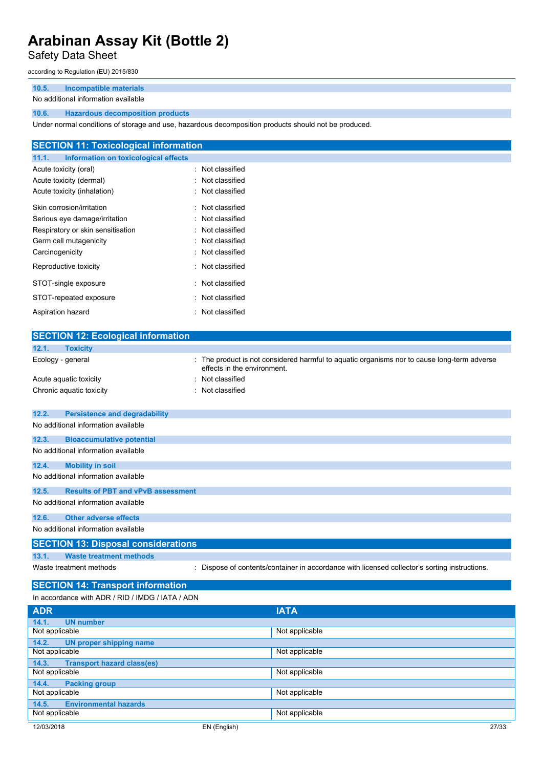## Safety Data Sheet

according to Regulation (EU) 2015/830

## **10.5. Incompatible materials**

### No additional information available

## **10.6. Hazardous decomposition products**

Under normal conditions of storage and use, hazardous decomposition products should not be produced.

| <b>SECTION 11: Toxicological information</b> |
|----------------------------------------------|
|                                              |
| : Not classified                             |
| : Not classified                             |
| : Not classified                             |
| : Not classified                             |
| : Not classified                             |
| : Not classified                             |
| : Not classified                             |
| : Not classified                             |
| : Not classified                             |
| : Not classified                             |
| : Not classified                             |
| : Not classified                             |
|                                              |

| <b>SECTION 12: Ecological information</b>          |                                                                                                                            |
|----------------------------------------------------|----------------------------------------------------------------------------------------------------------------------------|
| 12.1.<br><b>Toxicity</b>                           |                                                                                                                            |
| Ecology - general                                  | : The product is not considered harmful to aquatic organisms nor to cause long-term adverse<br>effects in the environment. |
| Acute aquatic toxicity                             | : Not classified                                                                                                           |
| Chronic aquatic toxicity                           | Not classified                                                                                                             |
|                                                    |                                                                                                                            |
| 12.2.<br><b>Persistence and degradability</b>      |                                                                                                                            |
| No additional information available                |                                                                                                                            |
| 12.3.<br><b>Bioaccumulative potential</b>          |                                                                                                                            |
| No additional information available                |                                                                                                                            |
| <b>Mobility in soil</b><br>12.4.                   |                                                                                                                            |
| No additional information available                |                                                                                                                            |
| 12.5.<br><b>Results of PBT and vPvB assessment</b> |                                                                                                                            |
| No additional information available                |                                                                                                                            |
| 12.6.<br><b>Other adverse effects</b>              |                                                                                                                            |
| No additional information available                |                                                                                                                            |
| <b>SECTION 13: Disposal considerations</b>         |                                                                                                                            |
| <b>Waste treatment methods</b><br>13.1.            |                                                                                                                            |
| Waste treatment methods                            | : Dispose of contents/container in accordance with licensed collector's sorting instructions.                              |
| <b>SECTION 14: Transport information</b>           |                                                                                                                            |
| In accordance with ADR / RID / IMDG / IATA / ADN   |                                                                                                                            |
|                                                    |                                                                                                                            |
| <b>ADR</b>                                         | <b>IATA</b>                                                                                                                |
| 14.1.<br><b>UN number</b><br>$\cdot$               | .                                                                                                                          |

| <b>UN number</b><br>14.1.                  |                |       |
|--------------------------------------------|----------------|-------|
| Not applicable                             | Not applicable |       |
| <b>UN proper shipping name</b><br>14.2.    |                |       |
| Not applicable                             | Not applicable |       |
| <b>Transport hazard class(es)</b><br>14.3. |                |       |
| Not applicable                             | Not applicable |       |
| <b>Packing group</b><br>14.4.              |                |       |
| Not applicable                             | Not applicable |       |
| <b>Environmental hazards</b><br>14.5.      |                |       |
| Not applicable                             | Not applicable |       |
| 12/03/2018                                 | EN (English)   | 27/33 |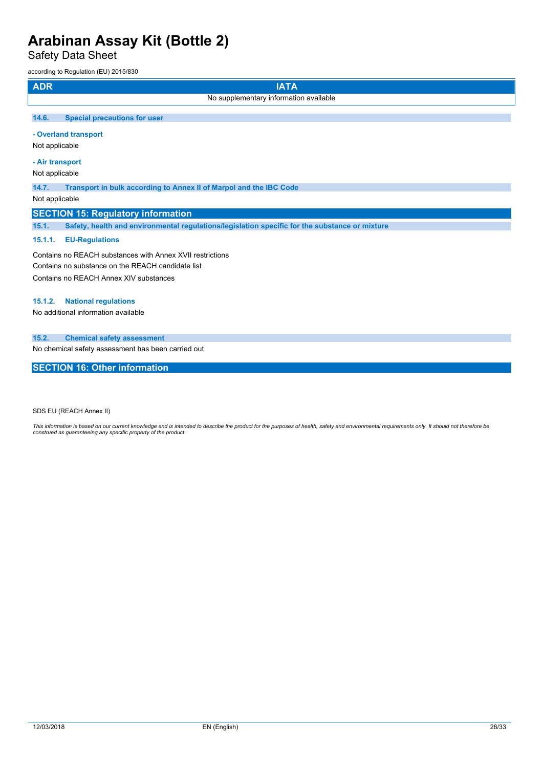Safety Data Sheet

according to Regulation (EU) 2015/830

| <b>ADR</b>                                                                                    | <b>IATA</b>                                                                                    |  |  |  |
|-----------------------------------------------------------------------------------------------|------------------------------------------------------------------------------------------------|--|--|--|
|                                                                                               | No supplementary information available                                                         |  |  |  |
| 14.6.                                                                                         | <b>Special precautions for user</b>                                                            |  |  |  |
| Not applicable                                                                                | - Overland transport                                                                           |  |  |  |
|                                                                                               | - Air transport<br>Not applicable                                                              |  |  |  |
| 14.7.<br>Transport in bulk according to Annex II of Marpol and the IBC Code<br>Not applicable |                                                                                                |  |  |  |
|                                                                                               | <b>SECTION 15: Regulatory information</b>                                                      |  |  |  |
| 15.1.                                                                                         | Safety, health and environmental regulations/legislation specific for the substance or mixture |  |  |  |
| 4644                                                                                          | <b>CU Demulations</b>                                                                          |  |  |  |

## **15.1.1. EU-Regulations**

Contains no REACH substances with Annex XVII restrictions Contains no substance on the REACH candidate list Contains no REACH Annex XIV substances

#### **15.1.2. National regulations**

No additional information available

## **15.2. Chemical safety assessment**

No chemical safety assessment has been carried out

## **SECTION 16: Other information**

SDS EU (REACH Annex II)

This information is based on our current knowledge and is intended to describe the product for the purposes of health, safety and environmental requirements only. It should not therefore be<br>construed as guaranteeing any sp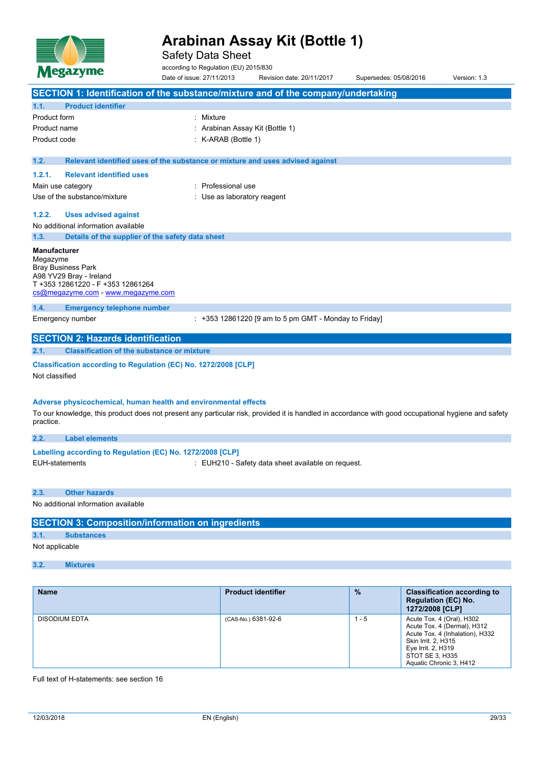

Safety Data Sheet

according to Regulation (EU) 2015/830

Date of issue: 27/11/2013 Revision date: 20/11/2017 Supersedes: 05/08/2016 Version: 1.3 **SECTION 1: Identification of the substance/mixture and of the company/undertaking 1.1. Product identifier** Product form : Nixture Product name : Arabinan Assay Kit (Bottle 1) Product code : K-ARAB (Bottle 1) **1.2. Relevant identified uses of the substance or mixture and uses advised against 1.2.1. Relevant identified uses** Main use category **in the set of the COV** and Main use the Main use Use of the substance/mixture in the substance/mixture in the substance of the substance of the substance of the substance of the substance of the substance of the substance of the substance of the substance of the substanc **1.2.2. Uses advised against** No additional information available **1.3. Details of the supplier of the safety data sheet Manufacturer** Megazyme Bray Business Park A98 YV29 Bray - Ireland T +353 12861220 - F +353 12861264 [cs@megazyme.com](mailto:cs@megazyme.com) - <www.megazyme.com> **1.4. Emergency telephone number** Emergency number : +353 12861220 [9 am to 5 pm GMT - Monday to Friday] **SECTION 2: Hazards identification 2.1. Classification of the substance or mixture Classification according to Regulation (EC) No. 1272/2008 [CLP]** Not classified **Adverse physicochemical, human health and environmental effects** To our knowledge, this product does not present any particular risk, provided it is handled in accordance with good occupational hygiene and safety practice. **2.2. Label elements Labelling** according to Regulation (EC) No. 1272/2008 [CLP] EUH-statements : EUH210 - Safety data sheet available on request. **2.3. Other hazards** No additional information available **SECTION 3: Composition/information on ingredients 3.1. Substances** Not applicable **3.2. Mixtures**

| <b>Name</b>          | <b>Product identifier</b> | $\frac{9}{6}$ | <b>Classification according to</b><br><b>Regulation (EC) No.</b><br>1272/2008 [CLP]                                                                                                           |
|----------------------|---------------------------|---------------|-----------------------------------------------------------------------------------------------------------------------------------------------------------------------------------------------|
| <b>DISODIUM EDTA</b> | (CAS-No.) 6381-92-6       | 1 - 5         | Acute Tox. 4 (Oral), H302<br>Acute Tox. 4 (Dermal), H312<br>Acute Tox. 4 (Inhalation), H332<br><b>Skin Irrit. 2. H315</b><br>Eye Irrit. 2, H319<br>STOT SE 3, H335<br>Aquatic Chronic 3, H412 |

Full text of H-statements: see section 16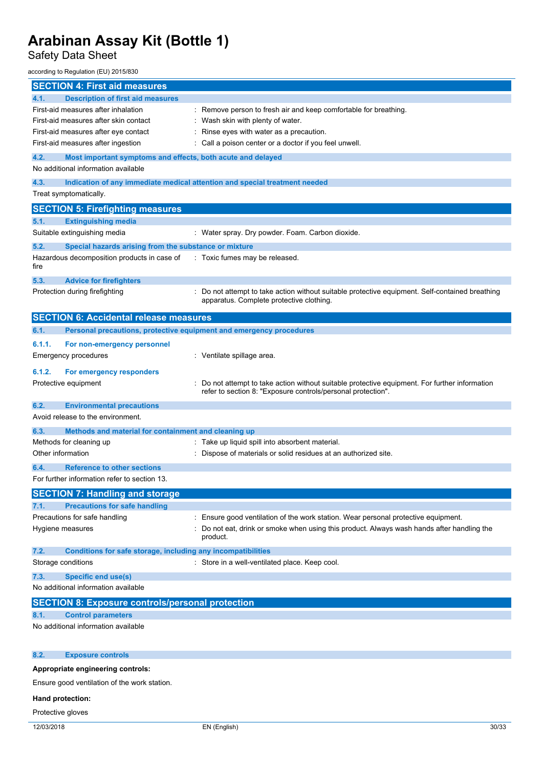## Safety Data Sheet

according to Regulation (EU) 2015/830

| <b>SECTION 4: First aid measures</b>                                        |                                                                                                |
|-----------------------------------------------------------------------------|------------------------------------------------------------------------------------------------|
| <b>Description of first aid measures</b><br>4.1.                            |                                                                                                |
| First-aid measures after inhalation                                         | Remove person to fresh air and keep comfortable for breathing.                                 |
| First-aid measures after skin contact                                       | Wash skin with plenty of water.                                                                |
| First-aid measures after eye contact                                        | Rinse eyes with water as a precaution.                                                         |
| First-aid measures after ingestion                                          | Call a poison center or a doctor if you feel unwell.                                           |
| 4.2.<br>Most important symptoms and effects, both acute and delayed         |                                                                                                |
| No additional information available                                         |                                                                                                |
| 4.3.                                                                        | Indication of any immediate medical attention and special treatment needed                     |
| Treat symptomatically.                                                      |                                                                                                |
|                                                                             |                                                                                                |
| <b>SECTION 5: Firefighting measures</b>                                     |                                                                                                |
| <b>Extinguishing media</b><br>5.1.                                          |                                                                                                |
| Suitable extinguishing media                                                | : Water spray. Dry powder. Foam. Carbon dioxide.                                               |
| 5.2.<br>Special hazards arising from the substance or mixture               |                                                                                                |
| Hazardous decomposition products in case of                                 | : Toxic fumes may be released.                                                                 |
| fire                                                                        |                                                                                                |
| 5.3.<br><b>Advice for firefighters</b>                                      |                                                                                                |
| Protection during firefighting                                              | Do not attempt to take action without suitable protective equipment. Self-contained breathing  |
|                                                                             | apparatus. Complete protective clothing.                                                       |
| <b>SECTION 6: Accidental release measures</b>                               |                                                                                                |
|                                                                             |                                                                                                |
| Personal precautions, protective equipment and emergency procedures<br>6.1. |                                                                                                |
| 6.1.1.<br>For non-emergency personnel                                       |                                                                                                |
| Emergency procedures                                                        | : Ventilate spillage area.                                                                     |
| 6.1.2.<br>For emergency responders                                          |                                                                                                |
| Protective equipment                                                        | : Do not attempt to take action without suitable protective equipment. For further information |
|                                                                             | refer to section 8: "Exposure controls/personal protection".                                   |
| 6.2.<br><b>Environmental precautions</b>                                    |                                                                                                |
| Avoid release to the environment.                                           |                                                                                                |
|                                                                             |                                                                                                |
| 6.3.<br>Methods and material for containment and cleaning up                |                                                                                                |
| Methods for cleaning up                                                     | : Take up liquid spill into absorbent material.                                                |
| Other information                                                           | Dispose of materials or solid residues at an authorized site.                                  |
| <b>Reference to other sections</b><br>6.4.                                  |                                                                                                |
| For further information refer to section 13.                                |                                                                                                |
| <b>SECTION 7: Handling and storage</b>                                      |                                                                                                |
| <b>Precautions for safe handling</b><br>7.1.                                |                                                                                                |
| Precautions for safe handling                                               | Ensure good ventilation of the work station. Wear personal protective equipment.               |
| Hygiene measures                                                            | Do not eat, drink or smoke when using this product. Always wash hands after handling the       |
|                                                                             | product.                                                                                       |
|                                                                             |                                                                                                |
| 7.2.<br>Conditions for safe storage, including any incompatibilities        |                                                                                                |
| Storage conditions                                                          | : Store in a well-ventilated place. Keep cool.                                                 |
| 7.3.<br><b>Specific end use(s)</b>                                          |                                                                                                |
| No additional information available                                         |                                                                                                |
| <b>SECTION 8: Exposure controls/personal protection</b>                     |                                                                                                |
| <b>Control parameters</b><br>8.1.                                           |                                                                                                |
| No additional information available                                         |                                                                                                |
|                                                                             |                                                                                                |
|                                                                             |                                                                                                |
| 8.2.<br><b>Exposure controls</b>                                            |                                                                                                |
| Appropriate engineering controls:                                           |                                                                                                |
| Ensure good ventilation of the work station.                                |                                                                                                |
|                                                                             |                                                                                                |

**Hand protection:**

Protective gloves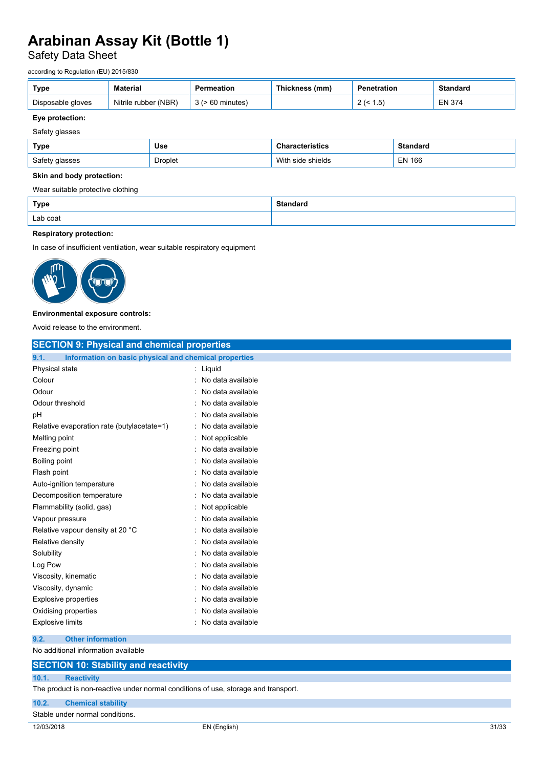## Safety Data Sheet

according to Regulation (EU) 2015/830

| Type              | <b>Material</b>      | Permeation            | Thickness (mm) | Penetration       | Standard      |
|-------------------|----------------------|-----------------------|----------------|-------------------|---------------|
| Disposable gloves | Nitrile rubber (NBR) | $3$ ( $> 60$ minutes) |                | (1.5)<br><u>_</u> | <b>EN 374</b> |

### **Eye protection:**

Safety glasses

| Type           | Use     | cterístics     | naaro             |
|----------------|---------|----------------|-------------------|
| Safety glasses | Droplet | shields<br>וחו | 166<br>ΕN<br>$ -$ |

### **Skin and body protection:**

Wear suitable protective clothing

| Type     | <b>Standard</b><br>. |
|----------|----------------------|
| Lab coat |                      |

## **Respiratory protection:**

In case of insufficient ventilation, wear suitable respiratory equipment



### **Environmental exposure controls:**

Avoid release to the environment.

| <b>SECTION 9: Physical and chemical properties</b>            |                   |
|---------------------------------------------------------------|-------------------|
| 9.1.<br>Information on basic physical and chemical properties |                   |
| Physical state                                                | : Liquid          |
| Colour                                                        | No data available |
| Odour                                                         | No data available |
| Odour threshold                                               | No data available |
| pH                                                            | No data available |
| Relative evaporation rate (butylacetate=1)                    | No data available |
| Melting point                                                 | Not applicable    |
| Freezing point                                                | No data available |
| Boiling point                                                 | No data available |
| Flash point                                                   | No data available |
| Auto-ignition temperature                                     | No data available |
| Decomposition temperature                                     | No data available |
| Flammability (solid, gas)                                     | Not applicable    |
| Vapour pressure                                               | No data available |
| Relative vapour density at 20 °C                              | No data available |
| Relative density                                              | No data available |
| Solubility                                                    | No data available |
| Log Pow                                                       | No data available |
| Viscosity, kinematic                                          | No data available |
| Viscosity, dynamic                                            | No data available |
| <b>Explosive properties</b>                                   | No data available |
| Oxidising properties                                          | No data available |
| <b>Explosive limits</b>                                       | No data available |
| <b>Other information</b><br>9.2.                              |                   |
| No additional information available                           |                   |
| <b>SECTION 10: Stability and reactivity</b>                   |                   |
| 10.1.<br><b>Reactivity</b>                                    |                   |
|                                                               |                   |

The product is non-reactive under normal conditions of use, storage and transport.

**10.2. Chemical stability**

Stable under normal conditions.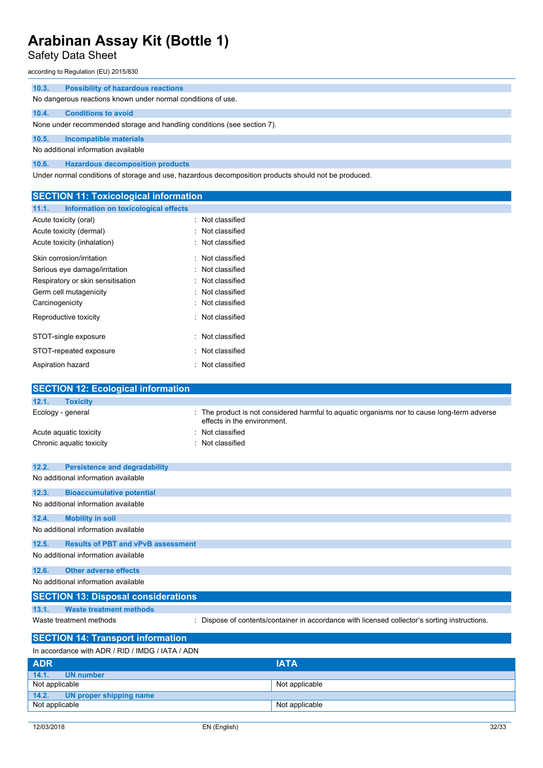Safety Data Sheet

according to Regulation (EU) 2015/830

| 10.3. | <b>Possibility of hazardous reactions</b>                                                            |
|-------|------------------------------------------------------------------------------------------------------|
|       | No dangerous reactions known under normal conditions of use.                                         |
| 10.4. | <b>Conditions to avoid</b>                                                                           |
|       | None under recommended storage and handling conditions (see section 7).                              |
| 10.5. | Incompatible materials                                                                               |
|       | No additional information available                                                                  |
| 10.6. | <b>Hazardous decomposition products</b>                                                              |
|       | Under normal conditions of storage and use, hazardous decomposition products should not be produced. |

**SECTION 11: Toxicological information 11.1. Information on toxicological effects** Acute toxicity (oral) **interest and the Contract Contract Contract Contract Contract Contract Contract Contract Contract Contract Contract Contract Contract Contract Contract Contract Contract Contract Contract Contract Co** Acute toxicity (dermal) **Exercise 2** Acute toxicity (dermal) Acute toxicity (inhalation) **interpretial according to the Control**: Not classified Skin corrosion/irritation **interest in the Contract Contract Contract Contract Contract Contract Contract Contract Contract Contract Contract Contract Contract Contract Contract Contract Contract Contract Contract Contract** Serious eye damage/irritation : Not classified Respiratory or skin sensitisation : Not classified Germ cell mutagenicity **in the case of the Case of Cassified** in Not classified Carcinogenicity **Carcinogenicity 1999 Carcinogenicity Carcial Carcial Carcial Carcial Carcial Carcial Carcial Carcial Carcial Carcial Carcial Carcial Carcial Carcial Carcial Carcial Carcial Carcial Carcial Carcial Ca** Reproductive toxicity **in the set of the CRI and T** and Reproductive toxicity STOT-single exposure in the state of the state of the STOT-single exposure STOT-repeated exposure in the state of the STOT-repeated exposure Aspiration hazard **in the case of the contract of the case of the case of the case of the case of the case of the contract of the contract of the case of the contract of the contract of the contract of the contract of the SECTION 12: Ecological information 12.1. Toxicity** Ecology - general state of the product is not considered harmful to aquatic organisms nor to cause long-term adverse effects in the environment. Acute aquatic toxicity **in the set of the Case of the Case of the Case of the Acute Acute Acute Acute Acute Acute** Chronic aquatic toxicity **in the contract of the Chronic aquatic toxicity** of the contract of the characteristic  $\mathbf{C}$ **12.2. Persistence and degradability** No additional information available **12.3. Bioaccumulative potential** No additional information available **12.4. Mobility in soil** No additional information available **12.5. Results of PBT and vPvB assessment** No additional information available

**12.6. Other adverse effects**

No additional information available

## **SECTION 13: Disposal considerations 13.1. Waste treatment methods** Waste treatment methods : Dispose of contents/container in accordance with licensed collector's sorting instructions.

## **SECTION 14: Transport information**

In accordance with ADR / RID / IMDG / IATA / ADN

| <b>ADR</b>                    | <b>IATA</b>    |
|-------------------------------|----------------|
| 14.1.<br>UN number            |                |
| Not applicable                | Not applicable |
| 14.2. UN proper shipping name |                |
| Not applicable                | Not applicable |
|                               |                |